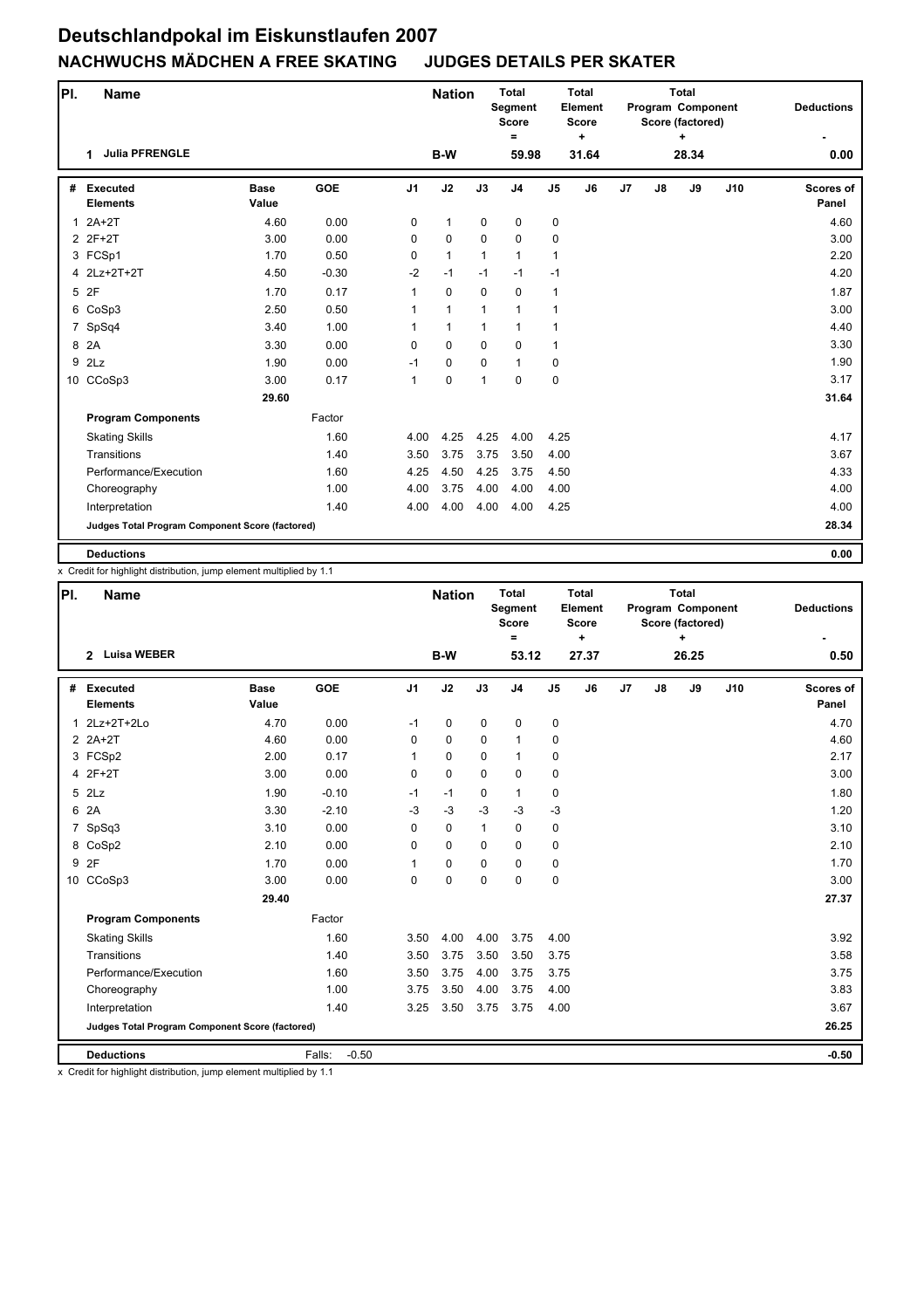| PI.            | <b>Name</b>                                     |                      |            |                | <b>Nation</b> |              | <b>Total</b><br>Segment<br><b>Score</b><br>$=$ |                | <b>Total</b><br>Element<br><b>Score</b><br>$\ddot{}$ |                |    | <b>Total</b><br>Program Component<br>Score (factored) |     | <b>Deductions</b>  |
|----------------|-------------------------------------------------|----------------------|------------|----------------|---------------|--------------|------------------------------------------------|----------------|------------------------------------------------------|----------------|----|-------------------------------------------------------|-----|--------------------|
|                | <b>Julia PFRENGLE</b><br>1                      |                      |            |                | B-W           |              | 59.98                                          |                | 31.64                                                |                |    | 28.34                                                 |     | 0.00               |
| #              | <b>Executed</b><br><b>Elements</b>              | <b>Base</b><br>Value | <b>GOE</b> | J <sub>1</sub> | J2            | J3           | J <sub>4</sub>                                 | J <sub>5</sub> | J6                                                   | J <sub>7</sub> | J8 | J9                                                    | J10 | Scores of<br>Panel |
| 1              | $2A+2T$                                         | 4.60                 | 0.00       | 0              | $\mathbf{1}$  | $\mathbf 0$  | 0                                              | 0              |                                                      |                |    |                                                       |     | 4.60               |
|                | 2 2F+2T                                         | 3.00                 | 0.00       | $\Omega$       | $\mathbf 0$   | $\Omega$     | $\mathbf 0$                                    | 0              |                                                      |                |    |                                                       |     | 3.00               |
|                | 3 FCSp1                                         | 1.70                 | 0.50       | 0              | $\mathbf{1}$  | 1            | $\mathbf{1}$                                   | 1              |                                                      |                |    |                                                       |     | 2.20               |
|                | 4 2Lz+2T+2T                                     | 4.50                 | $-0.30$    | $-2$           | $-1$          | $-1$         | $-1$                                           | $-1$           |                                                      |                |    |                                                       |     | 4.20               |
| 5              | 2F                                              | 1.70                 | 0.17       | $\mathbf{1}$   | $\mathbf 0$   | $\mathbf 0$  | $\mathbf 0$                                    | 1              |                                                      |                |    |                                                       |     | 1.87               |
|                | 6 CoSp3                                         | 2.50                 | 0.50       | 1              | $\mathbf{1}$  | $\mathbf{1}$ | $\mathbf{1}$                                   | $\mathbf{1}$   |                                                      |                |    |                                                       |     | 3.00               |
| $\overline{7}$ | SpSq4                                           | 3.40                 | 1.00       | 1              | $\mathbf{1}$  | $\mathbf{1}$ | $\mathbf{1}$                                   | 1              |                                                      |                |    |                                                       |     | 4.40               |
| 8              | 2A                                              | 3.30                 | 0.00       | $\Omega$       | 0             | $\Omega$     | $\Omega$                                       | $\mathbf{1}$   |                                                      |                |    |                                                       |     | 3.30               |
| 9              | 2Lz                                             | 1.90                 | 0.00       | $-1$           | $\mathbf 0$   | $\mathbf 0$  | $\mathbf{1}$                                   | 0              |                                                      |                |    |                                                       |     | 1.90               |
|                | 10 CCoSp3                                       | 3.00                 | 0.17       | $\mathbf{1}$   | 0             | $\mathbf{1}$ | $\mathbf 0$                                    | 0              |                                                      |                |    |                                                       |     | 3.17               |
|                |                                                 | 29.60                |            |                |               |              |                                                |                |                                                      |                |    |                                                       |     | 31.64              |
|                | <b>Program Components</b>                       |                      | Factor     |                |               |              |                                                |                |                                                      |                |    |                                                       |     |                    |
|                | <b>Skating Skills</b>                           |                      | 1.60       | 4.00           | 4.25          | 4.25         | 4.00                                           | 4.25           |                                                      |                |    |                                                       |     | 4.17               |
|                | Transitions                                     |                      | 1.40       | 3.50           | 3.75          | 3.75         | 3.50                                           | 4.00           |                                                      |                |    |                                                       |     | 3.67               |
|                | Performance/Execution                           |                      | 1.60       | 4.25           | 4.50          | 4.25         | 3.75                                           | 4.50           |                                                      |                |    |                                                       |     | 4.33               |
|                | Choreography                                    |                      | 1.00       | 4.00           | 3.75          | 4.00         | 4.00                                           | 4.00           |                                                      |                |    |                                                       |     | 4.00               |
|                | Interpretation                                  |                      | 1.40       | 4.00           | 4.00          | 4.00         | 4.00                                           | 4.25           |                                                      |                |    |                                                       |     | 4.00               |
|                | Judges Total Program Component Score (factored) |                      |            |                |               |              |                                                |                |                                                      |                |    |                                                       |     | 28.34              |
|                | <b>Deductions</b>                               |                      |            |                |               |              |                                                |                |                                                      |                |    |                                                       |     | 0.00               |

x Credit for highlight distribution, jump element multiplied by 1.1

| PI. | <b>Name</b>                                     |                      |                   |                | <b>Nation</b> |              | <b>Total</b><br>Segment<br><b>Score</b><br>$=$ |                | <b>Total</b><br>Element<br><b>Score</b><br>÷ |                |    | <b>Total</b><br>Program Component<br>Score (factored) |     | <b>Deductions</b>         |
|-----|-------------------------------------------------|----------------------|-------------------|----------------|---------------|--------------|------------------------------------------------|----------------|----------------------------------------------|----------------|----|-------------------------------------------------------|-----|---------------------------|
|     | <b>Luisa WEBER</b><br>$\mathbf{2}$              |                      |                   |                | <b>B-W</b>    |              | 53.12                                          |                | 27.37                                        |                |    | 26.25                                                 |     | 0.50                      |
| #   | <b>Executed</b><br><b>Elements</b>              | <b>Base</b><br>Value | GOE               | J <sub>1</sub> | J2            | J3           | J <sub>4</sub>                                 | J <sub>5</sub> | J6                                           | J <sub>7</sub> | J8 | J9                                                    | J10 | <b>Scores of</b><br>Panel |
|     | 1 2Lz+2T+2Lo                                    | 4.70                 | 0.00              | $-1$           | 0             | 0            | 0                                              | 0              |                                              |                |    |                                                       |     | 4.70                      |
|     | $2$ $2A+2T$                                     | 4.60                 | 0.00              | $\Omega$       | $\Omega$      | $\Omega$     | $\mathbf{1}$                                   | 0              |                                              |                |    |                                                       |     | 4.60                      |
|     | 3 FCSp2                                         | 2.00                 | 0.17              | 1              | $\Omega$      | $\Omega$     | $\mathbf{1}$                                   | 0              |                                              |                |    |                                                       |     | 2.17                      |
|     | 4 2F+2T                                         | 3.00                 | 0.00              | 0              | 0             | $\Omega$     | $\mathbf 0$                                    | 0              |                                              |                |    |                                                       |     | 3.00                      |
|     | $5$ $2Lz$                                       | 1.90                 | $-0.10$           | $-1$           | $-1$          | $\mathbf 0$  | $\mathbf{1}$                                   | 0              |                                              |                |    |                                                       |     | 1.80                      |
|     | 6 2A                                            | 3.30                 | $-2.10$           | $-3$           | $-3$          | $-3$         | $-3$                                           | $-3$           |                                              |                |    |                                                       |     | 1.20                      |
|     | 7 SpSq3                                         | 3.10                 | 0.00              | $\Omega$       | 0             | $\mathbf{1}$ | $\mathbf 0$                                    | 0              |                                              |                |    |                                                       |     | 3.10                      |
|     | 8 CoSp2                                         | 2.10                 | 0.00              | $\Omega$       | 0             | 0            | 0                                              | 0              |                                              |                |    |                                                       |     | 2.10                      |
|     | 9 2F                                            | 1.70                 | 0.00              | 1              | 0             | 0            | $\mathbf 0$                                    | 0              |                                              |                |    |                                                       |     | 1.70                      |
|     | 10 CCoSp3                                       | 3.00                 | 0.00              | 0              | 0             | $\Omega$     | $\mathbf 0$                                    | 0              |                                              |                |    |                                                       |     | 3.00                      |
|     |                                                 | 29.40                |                   |                |               |              |                                                |                |                                              |                |    |                                                       |     | 27.37                     |
|     | <b>Program Components</b>                       |                      | Factor            |                |               |              |                                                |                |                                              |                |    |                                                       |     |                           |
|     | <b>Skating Skills</b>                           |                      | 1.60              | 3.50           | 4.00          | 4.00         | 3.75                                           | 4.00           |                                              |                |    |                                                       |     | 3.92                      |
|     | Transitions                                     |                      | 1.40              | 3.50           | 3.75          | 3.50         | 3.50                                           | 3.75           |                                              |                |    |                                                       |     | 3.58                      |
|     | Performance/Execution                           |                      | 1.60              | 3.50           | 3.75          | 4.00         | 3.75                                           | 3.75           |                                              |                |    |                                                       |     | 3.75                      |
|     | Choreography                                    |                      | 1.00              | 3.75           | 3.50          | 4.00         | 3.75                                           | 4.00           |                                              |                |    |                                                       |     | 3.83                      |
|     | Interpretation                                  |                      | 1.40              | 3.25           | 3.50          | 3.75         | 3.75                                           | 4.00           |                                              |                |    |                                                       |     | 3.67                      |
|     | Judges Total Program Component Score (factored) |                      |                   |                |               |              |                                                |                |                                              |                |    |                                                       |     | 26.25                     |
|     | <b>Deductions</b>                               |                      | Falls:<br>$-0.50$ |                |               |              |                                                |                |                                              |                |    |                                                       |     | $-0.50$                   |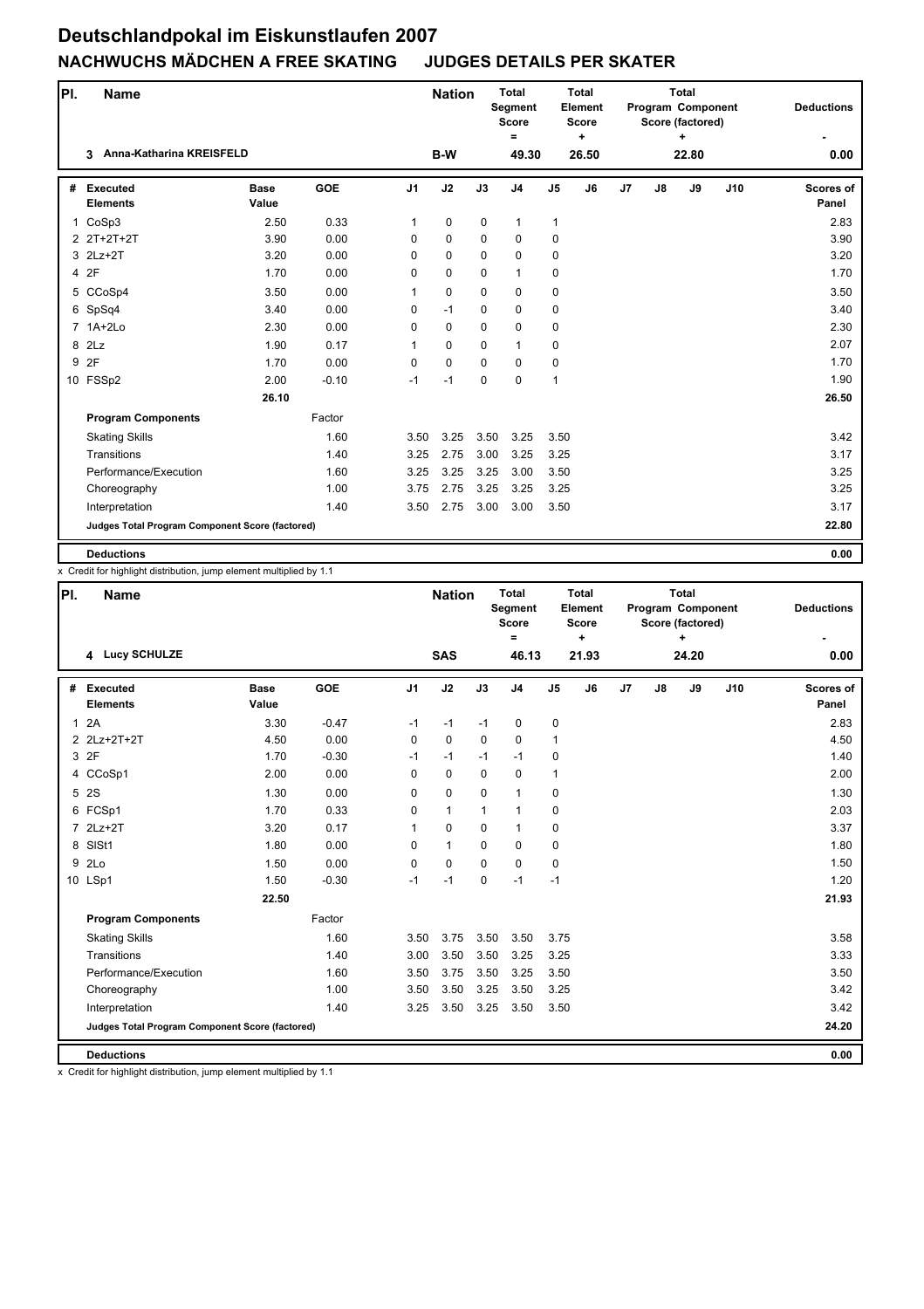| PI.          | <b>Name</b>                                     |                      |            |                | <b>Nation</b> |             | <b>Total</b><br>Segment<br><b>Score</b><br>$=$ |                | <b>Total</b><br>Element<br><b>Score</b><br>٠ |                |    | <b>Total</b><br>Program Component<br>Score (factored)<br>÷ |     | <b>Deductions</b>         |
|--------------|-------------------------------------------------|----------------------|------------|----------------|---------------|-------------|------------------------------------------------|----------------|----------------------------------------------|----------------|----|------------------------------------------------------------|-----|---------------------------|
|              | Anna-Katharina KREISFELD<br>3                   |                      |            |                | B-W           |             | 49.30                                          |                | 26.50                                        |                |    | 22.80                                                      |     | 0.00                      |
| #            | <b>Executed</b><br><b>Elements</b>              | <b>Base</b><br>Value | <b>GOE</b> | J <sub>1</sub> | J2            | J3          | J <sub>4</sub>                                 | J <sub>5</sub> | J6                                           | J <sub>7</sub> | J8 | J9                                                         | J10 | <b>Scores of</b><br>Panel |
| $\mathbf{1}$ | CoSp3                                           | 2.50                 | 0.33       | 1              | $\pmb{0}$     | $\mathbf 0$ | $\mathbf{1}$                                   | 1              |                                              |                |    |                                                            |     | 2.83                      |
|              | 2 2T+2T+2T                                      | 3.90                 | 0.00       | $\Omega$       | $\mathbf 0$   | $\mathbf 0$ | $\mathbf 0$                                    | $\mathbf 0$    |                                              |                |    |                                                            |     | 3.90                      |
|              | 3 2Lz+2T                                        | 3.20                 | 0.00       | 0              | $\mathbf 0$   | $\Omega$    | $\mathbf 0$                                    | $\mathbf 0$    |                                              |                |    |                                                            |     | 3.20                      |
|              | 4 2F                                            | 1.70                 | 0.00       | 0              | $\mathbf 0$   | $\mathbf 0$ | $\mathbf{1}$                                   | 0              |                                              |                |    |                                                            |     | 1.70                      |
|              | 5 CCoSp4                                        | 3.50                 | 0.00       | $\mathbf{1}$   | $\pmb{0}$     | $\mathbf 0$ | 0                                              | 0              |                                              |                |    |                                                            |     | 3.50                      |
|              | 6 SpSq4                                         | 3.40                 | 0.00       | 0              | $-1$          | $\mathbf 0$ | $\mathbf 0$                                    | 0              |                                              |                |    |                                                            |     | 3.40                      |
|              | 7 1A+2Lo                                        | 2.30                 | 0.00       | 0              | $\mathbf 0$   | $\mathbf 0$ | $\mathbf 0$                                    | 0              |                                              |                |    |                                                            |     | 2.30                      |
|              | 8 2Lz                                           | 1.90                 | 0.17       | 1              | 0             | $\Omega$    | $\mathbf{1}$                                   | 0              |                                              |                |    |                                                            |     | 2.07                      |
| 9            | 2F                                              | 1.70                 | 0.00       | 0              | $\mathbf 0$   | $\mathbf 0$ | $\mathbf 0$                                    | 0              |                                              |                |    |                                                            |     | 1.70                      |
|              | 10 FSSp2                                        | 2.00                 | $-0.10$    | $-1$           | -1            | $\Omega$    | $\mathbf 0$                                    | $\mathbf{1}$   |                                              |                |    |                                                            |     | 1.90                      |
|              |                                                 | 26.10                |            |                |               |             |                                                |                |                                              |                |    |                                                            |     | 26.50                     |
|              | <b>Program Components</b>                       |                      | Factor     |                |               |             |                                                |                |                                              |                |    |                                                            |     |                           |
|              | <b>Skating Skills</b>                           |                      | 1.60       | 3.50           | 3.25          | 3.50        | 3.25                                           | 3.50           |                                              |                |    |                                                            |     | 3.42                      |
|              | Transitions                                     |                      | 1.40       | 3.25           | 2.75          | 3.00        | 3.25                                           | 3.25           |                                              |                |    |                                                            |     | 3.17                      |
|              | Performance/Execution                           |                      | 1.60       | 3.25           | 3.25          | 3.25        | 3.00                                           | 3.50           |                                              |                |    |                                                            |     | 3.25                      |
|              | Choreography                                    |                      | 1.00       | 3.75           | 2.75          | 3.25        | 3.25                                           | 3.25           |                                              |                |    |                                                            |     | 3.25                      |
|              | Interpretation                                  |                      | 1.40       | 3.50           | 2.75          | 3.00        | 3.00                                           | 3.50           |                                              |                |    |                                                            |     | 3.17                      |
|              | Judges Total Program Component Score (factored) |                      |            |                |               |             |                                                |                |                                              |                |    |                                                            |     | 22.80                     |
|              | <b>Deductions</b>                               |                      |            |                |               |             |                                                |                |                                              |                |    |                                                            |     | 0.00                      |

x Credit for highlight distribution, jump element multiplied by 1.1

| PI.          | <b>Name</b>                                     |                      |            |                | <b>Nation</b> |              | <b>Total</b><br>Segment<br><b>Score</b><br>Ξ |                | <b>Total</b><br>Element<br>Score<br>٠ |                |    | <b>Total</b><br>Program Component<br>Score (factored) |     | <b>Deductions</b>         |
|--------------|-------------------------------------------------|----------------------|------------|----------------|---------------|--------------|----------------------------------------------|----------------|---------------------------------------|----------------|----|-------------------------------------------------------|-----|---------------------------|
|              | 4 Lucy SCHULZE                                  |                      |            |                | <b>SAS</b>    |              | 46.13                                        |                | 21.93                                 |                |    | 24.20                                                 |     | 0.00                      |
| #            | Executed<br><b>Elements</b>                     | <b>Base</b><br>Value | <b>GOE</b> | J <sub>1</sub> | J2            | J3           | J <sub>4</sub>                               | J <sub>5</sub> | J6                                    | J <sub>7</sub> | J8 | J9                                                    | J10 | <b>Scores of</b><br>Panel |
| $\mathbf{1}$ | 2A                                              | 3.30                 | $-0.47$    | $-1$           | $-1$          | $-1$         | $\mathbf 0$                                  | 0              |                                       |                |    |                                                       |     | 2.83                      |
|              | 2 2Lz+2T+2T                                     | 4.50                 | 0.00       | $\mathbf 0$    | $\mathbf 0$   | $\mathbf 0$  | $\mathbf 0$                                  | $\mathbf{1}$   |                                       |                |    |                                                       |     | 4.50                      |
|              | 3 2F                                            | 1.70                 | $-0.30$    | $-1$           | $-1$          | $-1$         | $-1$                                         | 0              |                                       |                |    |                                                       |     | 1.40                      |
|              | 4 CCoSp1                                        | 2.00                 | 0.00       | $\mathbf 0$    | $\mathbf 0$   | 0            | $\mathbf 0$                                  | $\mathbf{1}$   |                                       |                |    |                                                       |     | 2.00                      |
| 5            | <b>2S</b>                                       | 1.30                 | 0.00       | 0              | $\mathbf 0$   | 0            | $\mathbf{1}$                                 | 0              |                                       |                |    |                                                       |     | 1.30                      |
|              | 6 FCSp1                                         | 1.70                 | 0.33       | 0              | $\mathbf{1}$  | $\mathbf{1}$ | $\mathbf{1}$                                 | 0              |                                       |                |    |                                                       |     | 2.03                      |
|              | 7 2Lz+2T                                        | 3.20                 | 0.17       | 1              | $\mathbf 0$   | $\Omega$     | $\mathbf{1}$                                 | 0              |                                       |                |    |                                                       |     | 3.37                      |
| 8            | SISt1                                           | 1.80                 | 0.00       | 0              | $\mathbf{1}$  | $\Omega$     | 0                                            | 0              |                                       |                |    |                                                       |     | 1.80                      |
| 9            | 2Lo                                             | 1.50                 | 0.00       | $\mathbf 0$    | $\pmb{0}$     | $\Omega$     | $\mathbf 0$                                  | 0              |                                       |                |    |                                                       |     | 1.50                      |
|              | 10 LSp1                                         | 1.50                 | $-0.30$    | $-1$           | $-1$          | 0            | $-1$                                         | $-1$           |                                       |                |    |                                                       |     | 1.20                      |
|              |                                                 | 22.50                |            |                |               |              |                                              |                |                                       |                |    |                                                       |     | 21.93                     |
|              | <b>Program Components</b>                       |                      | Factor     |                |               |              |                                              |                |                                       |                |    |                                                       |     |                           |
|              | <b>Skating Skills</b>                           |                      | 1.60       | 3.50           | 3.75          | 3.50         | 3.50                                         | 3.75           |                                       |                |    |                                                       |     | 3.58                      |
|              | Transitions                                     |                      | 1.40       | 3.00           | 3.50          | 3.50         | 3.25                                         | 3.25           |                                       |                |    |                                                       |     | 3.33                      |
|              | Performance/Execution                           |                      | 1.60       | 3.50           | 3.75          | 3.50         | 3.25                                         | 3.50           |                                       |                |    |                                                       |     | 3.50                      |
|              | Choreography                                    |                      | 1.00       | 3.50           | 3.50          | 3.25         | 3.50                                         | 3.25           |                                       |                |    |                                                       |     | 3.42                      |
|              | Interpretation                                  |                      | 1.40       | 3.25           | 3.50          | 3.25         | 3.50                                         | 3.50           |                                       |                |    |                                                       |     | 3.42                      |
|              | Judges Total Program Component Score (factored) |                      |            |                |               |              |                                              |                |                                       |                |    |                                                       |     | 24.20                     |
|              | <b>Deductions</b>                               |                      |            |                |               |              |                                              |                |                                       |                |    |                                                       |     | 0.00                      |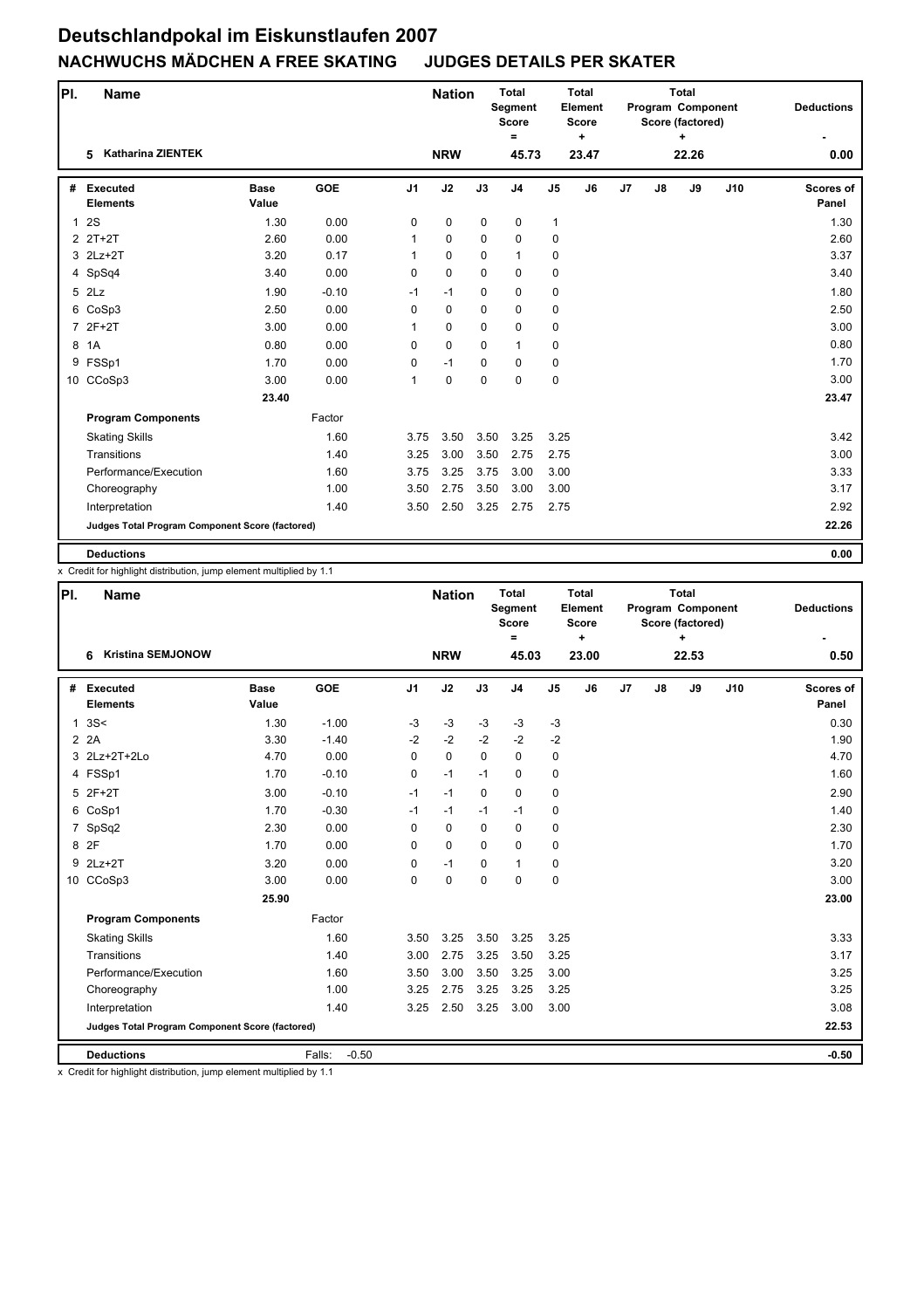| PI.            | <b>Name</b>                                     |                      |            |                | <b>Nation</b> |             | <b>Total</b><br>Segment<br><b>Score</b><br>$\equiv$ |                | <b>Total</b><br>Element<br><b>Score</b><br>$\ddot{}$ |                |    | <b>Total</b><br>Program Component<br>Score (factored) |     | <b>Deductions</b>  |
|----------------|-------------------------------------------------|----------------------|------------|----------------|---------------|-------------|-----------------------------------------------------|----------------|------------------------------------------------------|----------------|----|-------------------------------------------------------|-----|--------------------|
|                | <b>Katharina ZIENTEK</b><br>5                   |                      |            |                | <b>NRW</b>    |             | 45.73                                               |                | 23.47                                                |                |    | 22.26                                                 |     | 0.00               |
| #              | <b>Executed</b><br><b>Elements</b>              | <b>Base</b><br>Value | <b>GOE</b> | J <sub>1</sub> | J2            | J3          | J <sub>4</sub>                                      | J <sub>5</sub> | J6                                                   | J <sub>7</sub> | J8 | J9                                                    | J10 | Scores of<br>Panel |
| $\mathbf{1}$   | <b>2S</b>                                       | 1.30                 | 0.00       | 0              | $\mathbf 0$   | $\mathbf 0$ | $\mathbf 0$                                         | $\mathbf{1}$   |                                                      |                |    |                                                       |     | 1.30               |
|                | 2 2T+2T                                         | 2.60                 | 0.00       | 1              | $\mathbf 0$   | $\mathbf 0$ | $\mathbf 0$                                         | 0              |                                                      |                |    |                                                       |     | 2.60               |
|                | 3 2Lz+2T                                        | 3.20                 | 0.17       | 1              | 0             | $\mathbf 0$ | $\mathbf{1}$                                        | 0              |                                                      |                |    |                                                       |     | 3.37               |
|                | 4 SpSq4                                         | 3.40                 | 0.00       | 0              | $\mathbf 0$   | $\Omega$    | 0                                                   | 0              |                                                      |                |    |                                                       |     | 3.40               |
|                | 5 2Lz                                           | 1.90                 | $-0.10$    | $-1$           | $-1$          | $\mathbf 0$ | $\mathbf 0$                                         | 0              |                                                      |                |    |                                                       |     | 1.80               |
| 6              | CoSp3                                           | 2.50                 | 0.00       | 0              | $\pmb{0}$     | $\mathbf 0$ | 0                                                   | 0              |                                                      |                |    |                                                       |     | 2.50               |
| $\overline{7}$ | $2F+2T$                                         | 3.00                 | 0.00       | 1              | $\mathbf 0$   | $\mathbf 0$ | $\mathbf 0$                                         | 0              |                                                      |                |    |                                                       |     | 3.00               |
| 8              | 1A                                              | 0.80                 | 0.00       | $\Omega$       | $\mathbf 0$   | $\Omega$    | $\mathbf{1}$                                        | 0              |                                                      |                |    |                                                       |     | 0.80               |
| 9              | FSSp1                                           | 1.70                 | 0.00       | 0              | $-1$          | $\mathbf 0$ | 0                                                   | 0              |                                                      |                |    |                                                       |     | 1.70               |
|                | 10 CCoSp3                                       | 3.00                 | 0.00       | 1              | $\mathbf 0$   | $\mathbf 0$ | $\mathbf 0$                                         | $\mathbf 0$    |                                                      |                |    |                                                       |     | 3.00               |
|                |                                                 | 23.40                |            |                |               |             |                                                     |                |                                                      |                |    |                                                       |     | 23.47              |
|                | <b>Program Components</b>                       |                      | Factor     |                |               |             |                                                     |                |                                                      |                |    |                                                       |     |                    |
|                | <b>Skating Skills</b>                           |                      | 1.60       | 3.75           | 3.50          | 3.50        | 3.25                                                | 3.25           |                                                      |                |    |                                                       |     | 3.42               |
|                | Transitions                                     |                      | 1.40       | 3.25           | 3.00          | 3.50        | 2.75                                                | 2.75           |                                                      |                |    |                                                       |     | 3.00               |
|                | Performance/Execution                           |                      | 1.60       | 3.75           | 3.25          | 3.75        | 3.00                                                | 3.00           |                                                      |                |    |                                                       |     | 3.33               |
|                | Choreography                                    |                      | 1.00       | 3.50           | 2.75          | 3.50        | 3.00                                                | 3.00           |                                                      |                |    |                                                       |     | 3.17               |
|                | Interpretation                                  |                      | 1.40       | 3.50           | 2.50          | 3.25        | 2.75                                                | 2.75           |                                                      |                |    |                                                       |     | 2.92               |
|                | Judges Total Program Component Score (factored) |                      |            |                |               |             |                                                     |                |                                                      |                |    |                                                       |     | 22.26              |
|                | <b>Deductions</b>                               |                      |            |                |               |             |                                                     |                |                                                      |                |    |                                                       |     | 0.00               |

x Credit for highlight distribution, jump element multiplied by 1.1

| PI. | <b>Name</b>                                     |                      |                   |                | <b>Nation</b> |             | <b>Total</b><br>Segment<br><b>Score</b><br>$\equiv$ |                | <b>Total</b><br>Element<br>Score<br>٠ |    |    | <b>Total</b><br>Program Component<br>Score (factored)<br>$\ddot{}$ |     | <b>Deductions</b>  |
|-----|-------------------------------------------------|----------------------|-------------------|----------------|---------------|-------------|-----------------------------------------------------|----------------|---------------------------------------|----|----|--------------------------------------------------------------------|-----|--------------------|
|     | <b>Kristina SEMJONOW</b><br>6                   |                      |                   |                | <b>NRW</b>    |             | 45.03                                               |                | 23.00                                 |    |    | 22.53                                                              |     | 0.50               |
| #   | <b>Executed</b><br><b>Elements</b>              | <b>Base</b><br>Value | GOE               | J <sub>1</sub> | J2            | J3          | J <sub>4</sub>                                      | J <sub>5</sub> | J6                                    | J7 | J8 | J9                                                                 | J10 | Scores of<br>Panel |
| 1   | 3S<                                             | 1.30                 | $-1.00$           | $-3$           | $-3$          | $-3$        | $-3$                                                | $-3$           |                                       |    |    |                                                                    |     | 0.30               |
|     | 2 2A                                            | 3.30                 | $-1.40$           | $-2$           | $-2$          | $-2$        | $-2$                                                | $-2$           |                                       |    |    |                                                                    |     | 1.90               |
|     | 3 2Lz+2T+2Lo                                    | 4.70                 | 0.00              | $\Omega$       | $\Omega$      | $\Omega$    | $\Omega$                                            | 0              |                                       |    |    |                                                                    |     | 4.70               |
|     | 4 FSSp1                                         | 1.70                 | $-0.10$           | 0              | $-1$          | $-1$        | 0                                                   | 0              |                                       |    |    |                                                                    |     | 1.60               |
|     | 5 2F+2T                                         | 3.00                 | $-0.10$           | $-1$           | $-1$          | $\Omega$    | 0                                                   | 0              |                                       |    |    |                                                                    |     | 2.90               |
|     | 6 CoSp1                                         | 1.70                 | $-0.30$           | $-1$           | $-1$          | $-1$        | $-1$                                                | 0              |                                       |    |    |                                                                    |     | 1.40               |
|     | 7 SpSq2                                         | 2.30                 | 0.00              | 0              | 0             | $\mathbf 0$ | 0                                                   | 0              |                                       |    |    |                                                                    |     | 2.30               |
|     | 8 2F                                            | 1.70                 | 0.00              | $\Omega$       | $\Omega$      | $\Omega$    | $\mathbf 0$                                         | 0              |                                       |    |    |                                                                    |     | 1.70               |
|     | 9 2Lz+2T                                        | 3.20                 | 0.00              | $\Omega$       | $-1$          | $\Omega$    | $\mathbf{1}$                                        | 0              |                                       |    |    |                                                                    |     | 3.20               |
|     | 10 CCoSp3                                       | 3.00                 | 0.00              | $\Omega$       | $\mathbf 0$   | $\mathbf 0$ | $\mathbf 0$                                         | 0              |                                       |    |    |                                                                    |     | 3.00               |
|     |                                                 | 25.90                |                   |                |               |             |                                                     |                |                                       |    |    |                                                                    |     | 23.00              |
|     | <b>Program Components</b>                       |                      | Factor            |                |               |             |                                                     |                |                                       |    |    |                                                                    |     |                    |
|     | <b>Skating Skills</b>                           |                      | 1.60              | 3.50           | 3.25          | 3.50        | 3.25                                                | 3.25           |                                       |    |    |                                                                    |     | 3.33               |
|     | Transitions                                     |                      | 1.40              | 3.00           | 2.75          | 3.25        | 3.50                                                | 3.25           |                                       |    |    |                                                                    |     | 3.17               |
|     | Performance/Execution                           |                      | 1.60              | 3.50           | 3.00          | 3.50        | 3.25                                                | 3.00           |                                       |    |    |                                                                    |     | 3.25               |
|     | Choreography                                    |                      | 1.00              | 3.25           | 2.75          | 3.25        | 3.25                                                | 3.25           |                                       |    |    |                                                                    |     | 3.25               |
|     | Interpretation                                  |                      | 1.40              | 3.25           | 2.50          | 3.25        | 3.00                                                | 3.00           |                                       |    |    |                                                                    |     | 3.08               |
|     | Judges Total Program Component Score (factored) |                      |                   |                |               |             |                                                     |                |                                       |    |    |                                                                    |     | 22.53              |
|     | <b>Deductions</b>                               |                      | $-0.50$<br>Falls: |                |               |             |                                                     |                |                                       |    |    |                                                                    |     | $-0.50$            |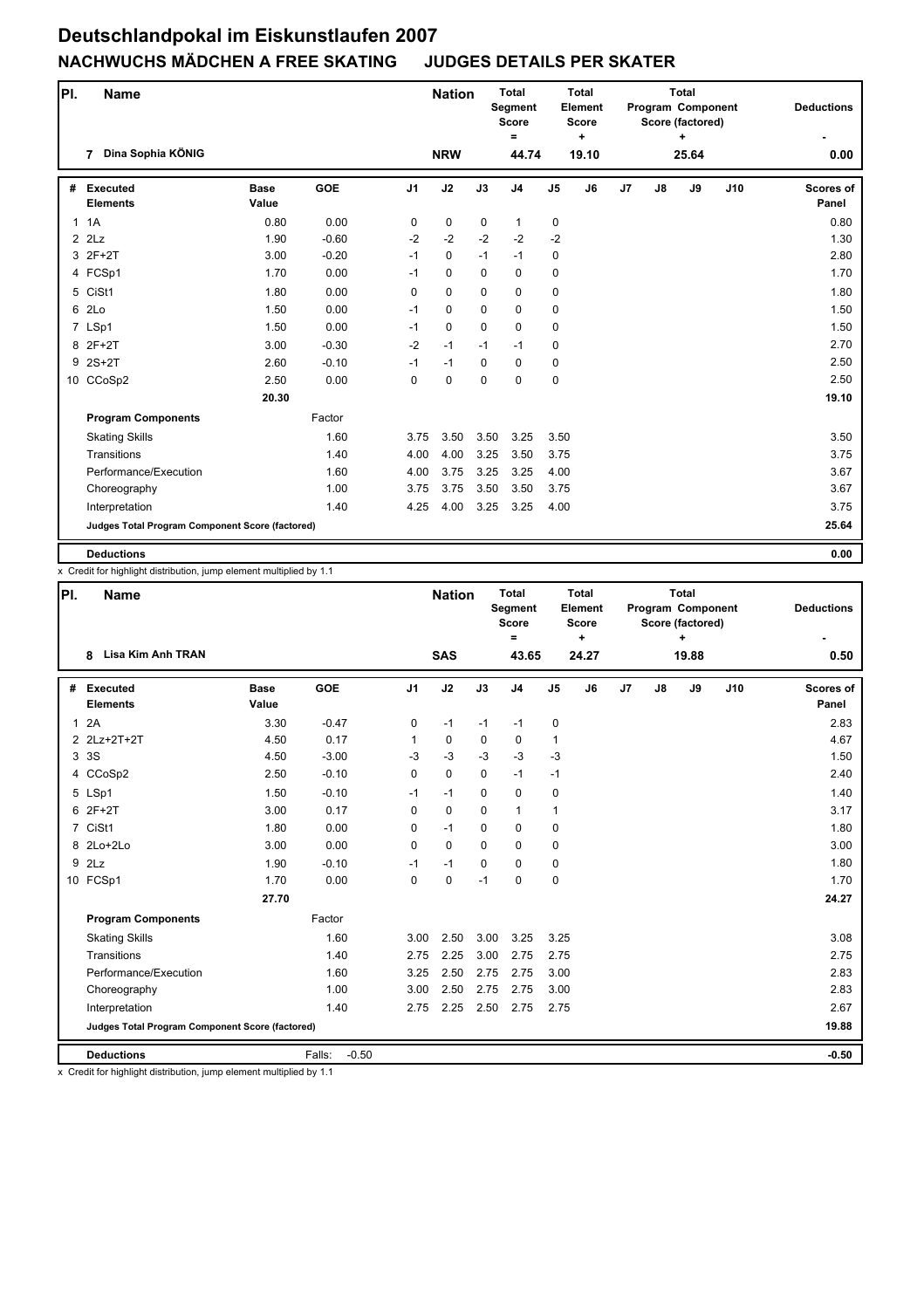| PI. | <b>Name</b>                                     |                      |            |                | <b>Nation</b> |             | <b>Total</b><br><b>Segment</b><br><b>Score</b><br>$\equiv$ |                | <b>Total</b><br>Element<br>Score<br>÷ |    |    | <b>Total</b><br>Program Component<br>Score (factored) |     | <b>Deductions</b>  |
|-----|-------------------------------------------------|----------------------|------------|----------------|---------------|-------------|------------------------------------------------------------|----------------|---------------------------------------|----|----|-------------------------------------------------------|-----|--------------------|
|     | Dina Sophia KÖNIG<br>$\overline{7}$             |                      |            |                | <b>NRW</b>    |             | 44.74                                                      |                | 19.10                                 |    |    | 25.64                                                 |     | 0.00               |
| #   | <b>Executed</b><br><b>Elements</b>              | <b>Base</b><br>Value | <b>GOE</b> | J <sub>1</sub> | J2            | J3          | J <sub>4</sub>                                             | J <sub>5</sub> | J6                                    | J7 | J8 | J9                                                    | J10 | Scores of<br>Panel |
|     | 1.1A                                            | 0.80                 | 0.00       | 0              | 0             | $\mathbf 0$ | $\mathbf{1}$                                               | 0              |                                       |    |    |                                                       |     | 0.80               |
|     | $2$ $2$ Lz                                      | 1.90                 | $-0.60$    | $-2$           | $-2$          | $-2$        | $-2$                                                       | $-2$           |                                       |    |    |                                                       |     | 1.30               |
|     | 3 2F+2T                                         | 3.00                 | $-0.20$    | $-1$           | 0             | $-1$        | $-1$                                                       | 0              |                                       |    |    |                                                       |     | 2.80               |
|     | 4 FCSp1                                         | 1.70                 | 0.00       | $-1$           | $\pmb{0}$     | $\mathbf 0$ | 0                                                          | 0              |                                       |    |    |                                                       |     | 1.70               |
|     | 5 CiSt1                                         | 1.80                 | 0.00       | 0              | 0             | 0           | 0                                                          | 0              |                                       |    |    |                                                       |     | 1.80               |
| 6   | 2Lo                                             | 1.50                 | 0.00       | $-1$           | 0             | 0           | 0                                                          | 0              |                                       |    |    |                                                       |     | 1.50               |
|     | 7 LSp1                                          | 1.50                 | 0.00       | $-1$           | 0             | $\Omega$    | 0                                                          | 0              |                                       |    |    |                                                       |     | 1.50               |
|     | 8 2F+2T                                         | 3.00                 | $-0.30$    | $-2$           | $-1$          | $-1$        | $-1$                                                       | 0              |                                       |    |    |                                                       |     | 2.70               |
|     | $9$ 2S+2T                                       | 2.60                 | $-0.10$    | $-1$           | $-1$          | $\mathbf 0$ | 0                                                          | 0              |                                       |    |    |                                                       |     | 2.50               |
|     | 10 CCoSp2                                       | 2.50                 | 0.00       | $\Omega$       | 0             | $\Omega$    | 0                                                          | 0              |                                       |    |    |                                                       |     | 2.50               |
|     |                                                 | 20.30                |            |                |               |             |                                                            |                |                                       |    |    |                                                       |     | 19.10              |
|     | <b>Program Components</b>                       |                      | Factor     |                |               |             |                                                            |                |                                       |    |    |                                                       |     |                    |
|     | <b>Skating Skills</b>                           |                      | 1.60       | 3.75           | 3.50          | 3.50        | 3.25                                                       | 3.50           |                                       |    |    |                                                       |     | 3.50               |
|     | Transitions                                     |                      | 1.40       | 4.00           | 4.00          | 3.25        | 3.50                                                       | 3.75           |                                       |    |    |                                                       |     | 3.75               |
|     | Performance/Execution                           |                      | 1.60       | 4.00           | 3.75          | 3.25        | 3.25                                                       | 4.00           |                                       |    |    |                                                       |     | 3.67               |
|     | Choreography                                    |                      | 1.00       | 3.75           | 3.75          | 3.50        | 3.50                                                       | 3.75           |                                       |    |    |                                                       |     | 3.67               |
|     | Interpretation                                  |                      | 1.40       | 4.25           | 4.00          | 3.25        | 3.25                                                       | 4.00           |                                       |    |    |                                                       |     | 3.75               |
|     | Judges Total Program Component Score (factored) |                      |            |                |               |             |                                                            |                |                                       |    |    |                                                       |     | 25.64              |
|     | <b>Deductions</b>                               |                      |            |                |               |             |                                                            |                |                                       |    |    |                                                       |     | 0.00               |

x Credit for highlight distribution, jump element multiplied by 1.1

| PI. | <b>Name</b>                                     |                      |                   |                | <b>Nation</b> |             | <b>Total</b><br>Segment<br><b>Score</b><br>= |                | Total<br>Element<br><b>Score</b><br>$\ddot{}$ |    |    | <b>Total</b><br>Program Component<br>Score (factored)<br>÷ |     | <b>Deductions</b>         |
|-----|-------------------------------------------------|----------------------|-------------------|----------------|---------------|-------------|----------------------------------------------|----------------|-----------------------------------------------|----|----|------------------------------------------------------------|-----|---------------------------|
|     | Lisa Kim Anh TRAN<br>8                          |                      |                   |                | <b>SAS</b>    |             | 43.65                                        |                | 24.27                                         |    |    | 19.88                                                      |     | 0.50                      |
| #   | <b>Executed</b><br><b>Elements</b>              | <b>Base</b><br>Value | <b>GOE</b>        | J <sub>1</sub> | J2            | J3          | J <sub>4</sub>                               | J <sub>5</sub> | J6                                            | J7 | J8 | J9                                                         | J10 | <b>Scores of</b><br>Panel |
| 1   | 2A                                              | 3.30                 | $-0.47$           | 0              | $-1$          | $-1$        | $-1$                                         | 0              |                                               |    |    |                                                            |     | 2.83                      |
|     | 2 2Lz+2T+2T                                     | 4.50                 | 0.17              | 1              | $\mathbf 0$   | $\mathbf 0$ | 0                                            | $\mathbf{1}$   |                                               |    |    |                                                            |     | 4.67                      |
|     | 3 3 S                                           | 4.50                 | $-3.00$           | $-3$           | $-3$          | $-3$        | $-3$                                         | $-3$           |                                               |    |    |                                                            |     | 1.50                      |
|     | 4 CCoSp2                                        | 2.50                 | $-0.10$           | 0              | $\mathbf 0$   | $\mathbf 0$ | $-1$                                         | $-1$           |                                               |    |    |                                                            |     | 2.40                      |
|     | 5 LSp1                                          | 1.50                 | $-0.10$           | $-1$           | $-1$          | $\Omega$    | 0                                            | $\mathbf 0$    |                                               |    |    |                                                            |     | 1.40                      |
|     | 6 2F+2T                                         | 3.00                 | 0.17              | $\Omega$       | $\mathbf 0$   | $\Omega$    | $\mathbf{1}$                                 | $\mathbf{1}$   |                                               |    |    |                                                            |     | 3.17                      |
|     | 7 CiSt1                                         | 1.80                 | 0.00              | 0              | $-1$          | $\Omega$    | $\mathbf 0$                                  | $\mathbf 0$    |                                               |    |    |                                                            |     | 1.80                      |
|     | 8 2Lo+2Lo                                       | 3.00                 | 0.00              | $\Omega$       | $\Omega$      | $\Omega$    | $\Omega$                                     | 0              |                                               |    |    |                                                            |     | 3.00                      |
|     | $9$ $2Lz$                                       | 1.90                 | $-0.10$           | $-1$           | $-1$          | $\Omega$    | 0                                            | $\mathbf 0$    |                                               |    |    |                                                            |     | 1.80                      |
|     | 10 FCSp1                                        | 1.70                 | 0.00              | $\Omega$       | $\mathbf 0$   | $-1$        | $\mathbf 0$                                  | $\mathbf 0$    |                                               |    |    |                                                            |     | 1.70                      |
|     |                                                 | 27.70                |                   |                |               |             |                                              |                |                                               |    |    |                                                            |     | 24.27                     |
|     | <b>Program Components</b>                       |                      | Factor            |                |               |             |                                              |                |                                               |    |    |                                                            |     |                           |
|     | <b>Skating Skills</b>                           |                      | 1.60              | 3.00           | 2.50          | 3.00        | 3.25                                         | 3.25           |                                               |    |    |                                                            |     | 3.08                      |
|     | Transitions                                     |                      | 1.40              | 2.75           | 2.25          | 3.00        | 2.75                                         | 2.75           |                                               |    |    |                                                            |     | 2.75                      |
|     | Performance/Execution                           |                      | 1.60              | 3.25           | 2.50          | 2.75        | 2.75                                         | 3.00           |                                               |    |    |                                                            |     | 2.83                      |
|     | Choreography                                    |                      | 1.00              | 3.00           | 2.50          | 2.75        | 2.75                                         | 3.00           |                                               |    |    |                                                            |     | 2.83                      |
|     | Interpretation                                  |                      | 1.40              | 2.75           | 2.25          | 2.50        | 2.75                                         | 2.75           |                                               |    |    |                                                            |     | 2.67                      |
|     | Judges Total Program Component Score (factored) |                      |                   |                |               |             |                                              |                |                                               |    |    |                                                            |     | 19.88                     |
|     | <b>Deductions</b>                               |                      | $-0.50$<br>Falls: |                |               |             |                                              |                |                                               |    |    |                                                            |     | $-0.50$                   |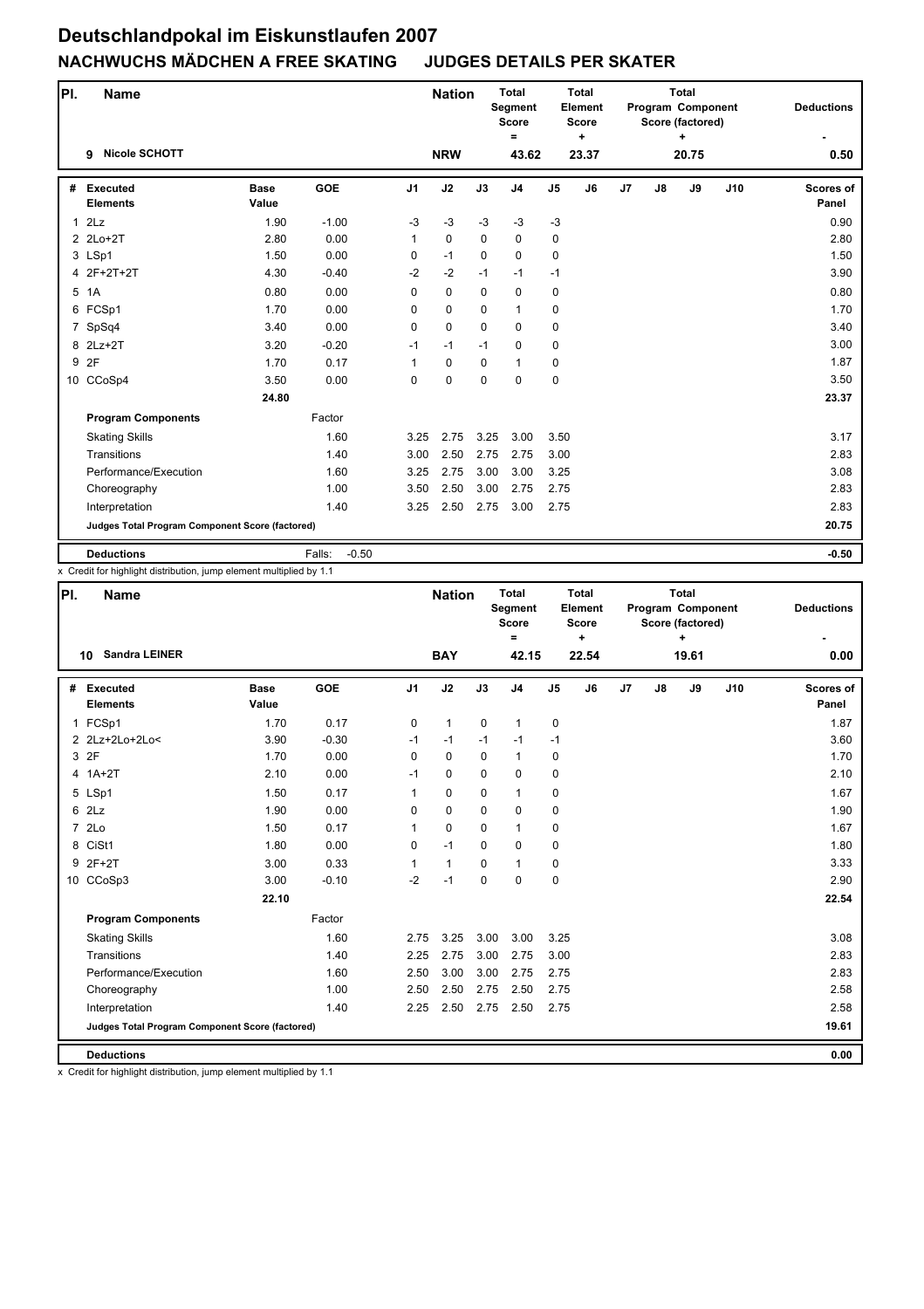| PI.          | <b>Name</b>                                     |                      |                   |                | <b>Nation</b> |             | <b>Total</b><br>Segment<br><b>Score</b><br>$\equiv$ |                | <b>Total</b><br>Element<br><b>Score</b><br>$\ddot{}$ |                |    | <b>Total</b><br>Program Component<br>Score (factored)<br>÷ |     | <b>Deductions</b>  |
|--------------|-------------------------------------------------|----------------------|-------------------|----------------|---------------|-------------|-----------------------------------------------------|----------------|------------------------------------------------------|----------------|----|------------------------------------------------------------|-----|--------------------|
|              | <b>Nicole SCHOTT</b><br>9                       |                      |                   |                | <b>NRW</b>    |             | 43.62                                               |                | 23.37                                                |                |    | 20.75                                                      |     | 0.50               |
| #            | <b>Executed</b><br><b>Elements</b>              | <b>Base</b><br>Value | <b>GOE</b>        | J <sub>1</sub> | J2            | J3          | J <sub>4</sub>                                      | J <sub>5</sub> | J6                                                   | J <sub>7</sub> | J8 | J9                                                         | J10 | Scores of<br>Panel |
| $\mathbf{1}$ | 2Lz                                             | 1.90                 | $-1.00$           | $-3$           | $-3$          | $-3$        | $-3$                                                | $-3$           |                                                      |                |    |                                                            |     | 0.90               |
|              | 2 2Lo+2T                                        | 2.80                 | 0.00              | 1              | $\mathbf 0$   | $\mathbf 0$ | $\mathbf 0$                                         | $\mathbf 0$    |                                                      |                |    |                                                            |     | 2.80               |
|              | 3 LSp1                                          | 1.50                 | 0.00              | 0              | $-1$          | $\Omega$    | 0                                                   | 0              |                                                      |                |    |                                                            |     | 1.50               |
|              | 4 2F+2T+2T                                      | 4.30                 | $-0.40$           | $-2$           | $-2$          | $-1$        | $-1$                                                | $-1$           |                                                      |                |    |                                                            |     | 3.90               |
|              | 5 1A                                            | 0.80                 | 0.00              | 0              | $\mathbf 0$   | $\mathbf 0$ | 0                                                   | 0              |                                                      |                |    |                                                            |     | 0.80               |
| 6            | FCSp1                                           | 1.70                 | 0.00              | 0              | $\mathbf 0$   | $\mathbf 0$ | $\mathbf{1}$                                        | $\mathbf 0$    |                                                      |                |    |                                                            |     | 1.70               |
| 7            | SpSq4                                           | 3.40                 | 0.00              | 0              | $\Omega$      | $\Omega$    | 0                                                   | 0              |                                                      |                |    |                                                            |     | 3.40               |
|              | 8 2Lz+2T                                        | 3.20                 | $-0.20$           | $-1$           | $-1$          | $-1$        | 0                                                   | 0              |                                                      |                |    |                                                            |     | 3.00               |
| 9            | 2F                                              | 1.70                 | 0.17              | $\mathbf{1}$   | $\mathbf 0$   | $\mathbf 0$ | $\mathbf{1}$                                        | 0              |                                                      |                |    |                                                            |     | 1.87               |
|              | 10 CCoSp4                                       | 3.50                 | 0.00              | 0              | $\mathbf 0$   | $\Omega$    | $\mathbf 0$                                         | 0              |                                                      |                |    |                                                            |     | 3.50               |
|              |                                                 | 24.80                |                   |                |               |             |                                                     |                |                                                      |                |    |                                                            |     | 23.37              |
|              | <b>Program Components</b>                       |                      | Factor            |                |               |             |                                                     |                |                                                      |                |    |                                                            |     |                    |
|              | <b>Skating Skills</b>                           |                      | 1.60              | 3.25           | 2.75          | 3.25        | 3.00                                                | 3.50           |                                                      |                |    |                                                            |     | 3.17               |
|              | Transitions                                     |                      | 1.40              | 3.00           | 2.50          | 2.75        | 2.75                                                | 3.00           |                                                      |                |    |                                                            |     | 2.83               |
|              | Performance/Execution                           |                      | 1.60              | 3.25           | 2.75          | 3.00        | 3.00                                                | 3.25           |                                                      |                |    |                                                            |     | 3.08               |
|              | Choreography                                    |                      | 1.00              | 3.50           | 2.50          | 3.00        | 2.75                                                | 2.75           |                                                      |                |    |                                                            |     | 2.83               |
|              | Interpretation                                  |                      | 1.40              | 3.25           | 2.50          | 2.75        | 3.00                                                | 2.75           |                                                      |                |    |                                                            |     | 2.83               |
|              | Judges Total Program Component Score (factored) |                      |                   |                |               |             |                                                     |                |                                                      |                |    |                                                            |     | 20.75              |
|              | <b>Deductions</b>                               |                      | $-0.50$<br>Falls: |                |               |             |                                                     |                |                                                      |                |    |                                                            |     | $-0.50$            |

x Credit for highlight distribution, jump element multiplied by 1.1

| PI.            | <b>Name</b>                                     |                      |         |                | <b>Nation</b> |             | <b>Total</b><br><b>Segment</b><br><b>Score</b><br>$=$ |                | <b>Total</b><br>Element<br><b>Score</b><br>$\ddot{}$ |    |    | <b>Total</b><br>Program Component<br>Score (factored) |     | <b>Deductions</b>         |
|----------------|-------------------------------------------------|----------------------|---------|----------------|---------------|-------------|-------------------------------------------------------|----------------|------------------------------------------------------|----|----|-------------------------------------------------------|-----|---------------------------|
|                | <b>Sandra LEINER</b><br>10                      |                      |         |                | <b>BAY</b>    |             | 42.15                                                 |                | 22.54                                                |    |    | 19.61                                                 |     | 0.00                      |
| #              | <b>Executed</b><br><b>Elements</b>              | <b>Base</b><br>Value | GOE     | J <sub>1</sub> | J2            | J3          | J <sub>4</sub>                                        | J <sub>5</sub> | J6                                                   | J7 | J8 | J9                                                    | J10 | <b>Scores of</b><br>Panel |
|                | 1 FCSp1                                         | 1.70                 | 0.17    | 0              | $\mathbf{1}$  | $\mathbf 0$ | $\mathbf{1}$                                          | 0              |                                                      |    |    |                                                       |     | 1.87                      |
|                | 2 2Lz+2Lo+2Lo<                                  | 3.90                 | $-0.30$ | $-1$           | $-1$          | $-1$        | $-1$                                                  | $-1$           |                                                      |    |    |                                                       |     | 3.60                      |
|                | 3 2F                                            | 1.70                 | 0.00    | $\Omega$       | $\Omega$      | $\Omega$    | $\mathbf{1}$                                          | 0              |                                                      |    |    |                                                       |     | 1.70                      |
|                | 4 1A+2T                                         | 2.10                 | 0.00    | $-1$           | 0             | $\mathbf 0$ | 0                                                     | 0              |                                                      |    |    |                                                       |     | 2.10                      |
|                | 5 LSp1                                          | 1.50                 | 0.17    | 1              | 0             | $\mathbf 0$ | $\mathbf{1}$                                          | 0              |                                                      |    |    |                                                       |     | 1.67                      |
|                | $6$ $2Lz$                                       | 1.90                 | 0.00    | 0              | 0             | 0           | $\mathbf 0$                                           | 0              |                                                      |    |    |                                                       |     | 1.90                      |
| $\overline{7}$ | 2Lo                                             | 1.50                 | 0.17    | 1              | 0             | $\Omega$    | $\mathbf{1}$                                          | 0              |                                                      |    |    |                                                       |     | 1.67                      |
|                | 8 CiSt1                                         | 1.80                 | 0.00    | $\Omega$       | $-1$          | $\Omega$    | $\Omega$                                              | 0              |                                                      |    |    |                                                       |     | 1.80                      |
| 9              | $2F+2T$                                         | 3.00                 | 0.33    | 1              | $\mathbf{1}$  | 0           | $\mathbf{1}$                                          | 0              |                                                      |    |    |                                                       |     | 3.33                      |
|                | 10 CCoSp3                                       | 3.00                 | $-0.10$ | $-2$           | $-1$          | 0           | $\mathbf 0$                                           | 0              |                                                      |    |    |                                                       |     | 2.90                      |
|                |                                                 | 22.10                |         |                |               |             |                                                       |                |                                                      |    |    |                                                       |     | 22.54                     |
|                | <b>Program Components</b>                       |                      | Factor  |                |               |             |                                                       |                |                                                      |    |    |                                                       |     |                           |
|                | <b>Skating Skills</b>                           |                      | 1.60    | 2.75           | 3.25          | 3.00        | 3.00                                                  | 3.25           |                                                      |    |    |                                                       |     | 3.08                      |
|                | Transitions                                     |                      | 1.40    | 2.25           | 2.75          | 3.00        | 2.75                                                  | 3.00           |                                                      |    |    |                                                       |     | 2.83                      |
|                | Performance/Execution                           |                      | 1.60    | 2.50           | 3.00          | 3.00        | 2.75                                                  | 2.75           |                                                      |    |    |                                                       |     | 2.83                      |
|                | Choreography                                    |                      | 1.00    | 2.50           | 2.50          | 2.75        | 2.50                                                  | 2.75           |                                                      |    |    |                                                       |     | 2.58                      |
|                | Interpretation                                  |                      | 1.40    | 2.25           | 2.50          | 2.75        | 2.50                                                  | 2.75           |                                                      |    |    |                                                       |     | 2.58                      |
|                | Judges Total Program Component Score (factored) |                      |         |                |               |             |                                                       |                |                                                      |    |    |                                                       |     | 19.61                     |
|                | <b>Deductions</b>                               |                      |         |                |               |             |                                                       |                |                                                      |    |    |                                                       |     | 0.00                      |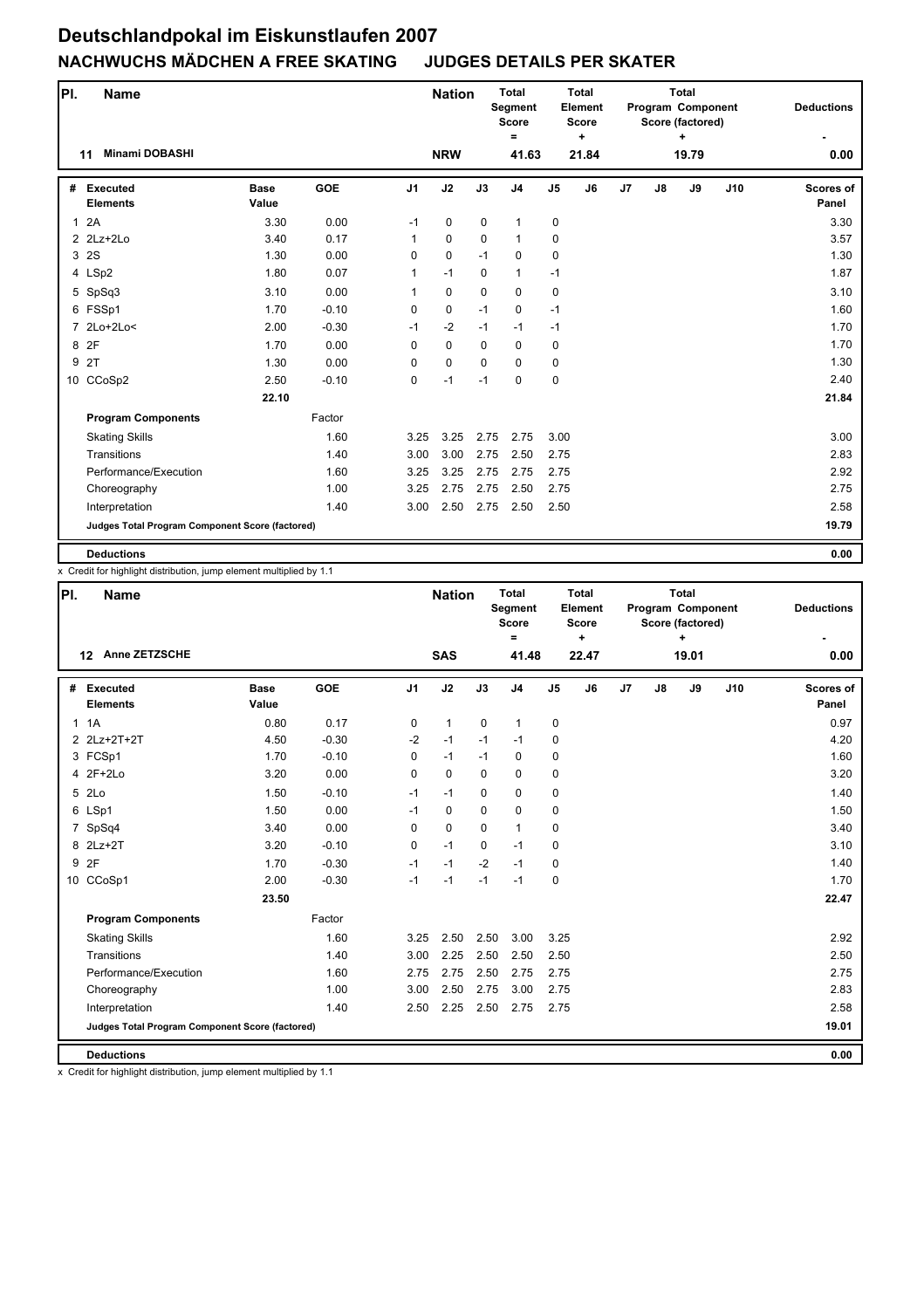| PI.            | <b>Name</b>                                     |                      |            |                | <b>Nation</b> |             | <b>Total</b><br>Segment<br><b>Score</b><br>$\equiv$ |                | <b>Total</b><br>Element<br><b>Score</b><br>$\ddot{}$ |                |    | <b>Total</b><br>Program Component<br>Score (factored)<br>÷ |     | <b>Deductions</b>  |
|----------------|-------------------------------------------------|----------------------|------------|----------------|---------------|-------------|-----------------------------------------------------|----------------|------------------------------------------------------|----------------|----|------------------------------------------------------------|-----|--------------------|
|                | <b>Minami DOBASHI</b><br>11                     |                      |            |                | <b>NRW</b>    |             | 41.63                                               |                | 21.84                                                |                |    | 19.79                                                      |     | 0.00               |
| #              | Executed<br><b>Elements</b>                     | <b>Base</b><br>Value | <b>GOE</b> | J <sub>1</sub> | J2            | J3          | J <sub>4</sub>                                      | J <sub>5</sub> | J6                                                   | J <sub>7</sub> | J8 | J9                                                         | J10 | Scores of<br>Panel |
| $\mathbf{1}$   | 2A                                              | 3.30                 | 0.00       | $-1$           | 0             | $\mathbf 0$ | $\mathbf{1}$                                        | 0              |                                                      |                |    |                                                            |     | 3.30               |
|                | $2$ $2$ Lz+ $2$ Lo                              | 3.40                 | 0.17       | 1              | $\mathbf 0$   | $\mathbf 0$ | $\mathbf{1}$                                        | 0              |                                                      |                |    |                                                            |     | 3.57               |
|                | 3 2S                                            | 1.30                 | 0.00       | 0              | $\mathbf 0$   | $-1$        | 0                                                   | 0              |                                                      |                |    |                                                            |     | 1.30               |
|                | 4 LSp2                                          | 1.80                 | 0.07       | $\mathbf{1}$   | $-1$          | $\mathbf 0$ | $\mathbf{1}$                                        | $-1$           |                                                      |                |    |                                                            |     | 1.87               |
|                | 5 SpSq3                                         | 3.10                 | 0.00       | 1              | 0             | $\mathbf 0$ | 0                                                   | 0              |                                                      |                |    |                                                            |     | 3.10               |
|                | 6 FSSp1                                         | 1.70                 | $-0.10$    | 0              | $\pmb{0}$     | $-1$        | 0                                                   | $-1$           |                                                      |                |    |                                                            |     | 1.60               |
| $\overline{7}$ | $2Lo+2Lo<$                                      | 2.00                 | $-0.30$    | $-1$           | $-2$          | $-1$        | $-1$                                                | $-1$           |                                                      |                |    |                                                            |     | 1.70               |
| 8              | 2F                                              | 1.70                 | 0.00       | 0              | $\mathbf 0$   | $\mathbf 0$ | $\mathbf 0$                                         | 0              |                                                      |                |    |                                                            |     | 1.70               |
| 9              | 2T                                              | 1.30                 | 0.00       | 0              | $\pmb{0}$     | $\mathbf 0$ | 0                                                   | 0              |                                                      |                |    |                                                            |     | 1.30               |
|                | 10 CCoSp2                                       | 2.50                 | $-0.10$    | 0              | $-1$          | $-1$        | $\mathbf 0$                                         | $\mathbf 0$    |                                                      |                |    |                                                            |     | 2.40               |
|                |                                                 | 22.10                |            |                |               |             |                                                     |                |                                                      |                |    |                                                            |     | 21.84              |
|                | <b>Program Components</b>                       |                      | Factor     |                |               |             |                                                     |                |                                                      |                |    |                                                            |     |                    |
|                | <b>Skating Skills</b>                           |                      | 1.60       | 3.25           | 3.25          | 2.75        | 2.75                                                | 3.00           |                                                      |                |    |                                                            |     | 3.00               |
|                | Transitions                                     |                      | 1.40       | 3.00           | 3.00          | 2.75        | 2.50                                                | 2.75           |                                                      |                |    |                                                            |     | 2.83               |
|                | Performance/Execution                           |                      | 1.60       | 3.25           | 3.25          | 2.75        | 2.75                                                | 2.75           |                                                      |                |    |                                                            |     | 2.92               |
|                | Choreography                                    |                      | 1.00       | 3.25           | 2.75          | 2.75        | 2.50                                                | 2.75           |                                                      |                |    |                                                            |     | 2.75               |
|                | Interpretation                                  |                      | 1.40       | 3.00           | 2.50          | 2.75        | 2.50                                                | 2.50           |                                                      |                |    |                                                            |     | 2.58               |
|                | Judges Total Program Component Score (factored) |                      |            |                |               |             |                                                     |                |                                                      |                |    |                                                            |     | 19.79              |
|                | <b>Deductions</b>                               |                      |            |                |               |             |                                                     |                |                                                      |                |    |                                                            |     | 0.00               |

x Credit for highlight distribution, jump element multiplied by 1.1

| PI. | <b>Name</b>                                     |                      |         |                | <b>Nation</b> |             | <b>Total</b><br><b>Segment</b><br><b>Score</b><br>$=$ |                | <b>Total</b><br>Element<br><b>Score</b><br>$\ddot{}$ |                |    | <b>Total</b><br>Program Component<br>Score (factored)<br>٠ |     | <b>Deductions</b>         |
|-----|-------------------------------------------------|----------------------|---------|----------------|---------------|-------------|-------------------------------------------------------|----------------|------------------------------------------------------|----------------|----|------------------------------------------------------------|-----|---------------------------|
|     | Anne ZETZSCHE<br>$12 \,$                        |                      |         |                | <b>SAS</b>    |             | 41.48                                                 |                | 22.47                                                |                |    | 19.01                                                      |     | 0.00                      |
| #   | Executed<br><b>Elements</b>                     | <b>Base</b><br>Value | GOE     | J <sub>1</sub> | J2            | J3          | J <sub>4</sub>                                        | J <sub>5</sub> | J6                                                   | J <sub>7</sub> | J8 | J9                                                         | J10 | <b>Scores of</b><br>Panel |
|     | 1.1A                                            | 0.80                 | 0.17    | $\mathbf 0$    | $\mathbf{1}$  | $\mathbf 0$ | $\mathbf{1}$                                          | 0              |                                                      |                |    |                                                            |     | 0.97                      |
|     | 2 2Lz+2T+2T                                     | 4.50                 | $-0.30$ | $-2$           | $-1$          | $-1$        | $-1$                                                  | 0              |                                                      |                |    |                                                            |     | 4.20                      |
|     | 3 FCSp1                                         | 1.70                 | $-0.10$ | 0              | $-1$          | $-1$        | $\mathbf 0$                                           | 0              |                                                      |                |    |                                                            |     | 1.60                      |
|     | 4 2F+2Lo                                        | 3.20                 | 0.00    | $\mathbf 0$    | $\mathbf 0$   | 0           | $\mathbf 0$                                           | 0              |                                                      |                |    |                                                            |     | 3.20                      |
|     | 5 2Lo                                           | 1.50                 | $-0.10$ | $-1$           | $-1$          | 0           | $\mathbf 0$                                           | 0              |                                                      |                |    |                                                            |     | 1.40                      |
|     | 6 LSp1                                          | 1.50                 | 0.00    | $-1$           | $\mathbf 0$   | $\Omega$    | $\mathbf 0$                                           | 0              |                                                      |                |    |                                                            |     | 1.50                      |
|     | 7 SpSq4                                         | 3.40                 | 0.00    | $\mathbf 0$    | $\mathbf 0$   | $\Omega$    | $\mathbf{1}$                                          | 0              |                                                      |                |    |                                                            |     | 3.40                      |
|     | 8 2Lz+2T                                        | 3.20                 | $-0.10$ | $\mathbf 0$    | $-1$          | 0           | $-1$                                                  | 0              |                                                      |                |    |                                                            |     | 3.10                      |
| 9   | 2F                                              | 1.70                 | $-0.30$ | $-1$           | $-1$          | $-2$        | $-1$                                                  | 0              |                                                      |                |    |                                                            |     | 1.40                      |
|     | 10 CCoSp1                                       | 2.00                 | $-0.30$ | $-1$           | $-1$          | $-1$        | $-1$                                                  | $\mathbf 0$    |                                                      |                |    |                                                            |     | 1.70                      |
|     |                                                 | 23.50                |         |                |               |             |                                                       |                |                                                      |                |    |                                                            |     | 22.47                     |
|     | <b>Program Components</b>                       |                      | Factor  |                |               |             |                                                       |                |                                                      |                |    |                                                            |     |                           |
|     | <b>Skating Skills</b>                           |                      | 1.60    | 3.25           | 2.50          | 2.50        | 3.00                                                  | 3.25           |                                                      |                |    |                                                            |     | 2.92                      |
|     | Transitions                                     |                      | 1.40    | 3.00           | 2.25          | 2.50        | 2.50                                                  | 2.50           |                                                      |                |    |                                                            |     | 2.50                      |
|     | Performance/Execution                           |                      | 1.60    | 2.75           | 2.75          | 2.50        | 2.75                                                  | 2.75           |                                                      |                |    |                                                            |     | 2.75                      |
|     | Choreography                                    |                      | 1.00    | 3.00           | 2.50          | 2.75        | 3.00                                                  | 2.75           |                                                      |                |    |                                                            |     | 2.83                      |
|     | Interpretation                                  |                      | 1.40    | 2.50           | 2.25          | 2.50        | 2.75                                                  | 2.75           |                                                      |                |    |                                                            |     | 2.58                      |
|     | Judges Total Program Component Score (factored) |                      |         |                |               |             |                                                       |                |                                                      |                |    |                                                            |     | 19.01                     |
|     | <b>Deductions</b>                               |                      |         |                |               |             |                                                       |                |                                                      |                |    |                                                            |     | 0.00                      |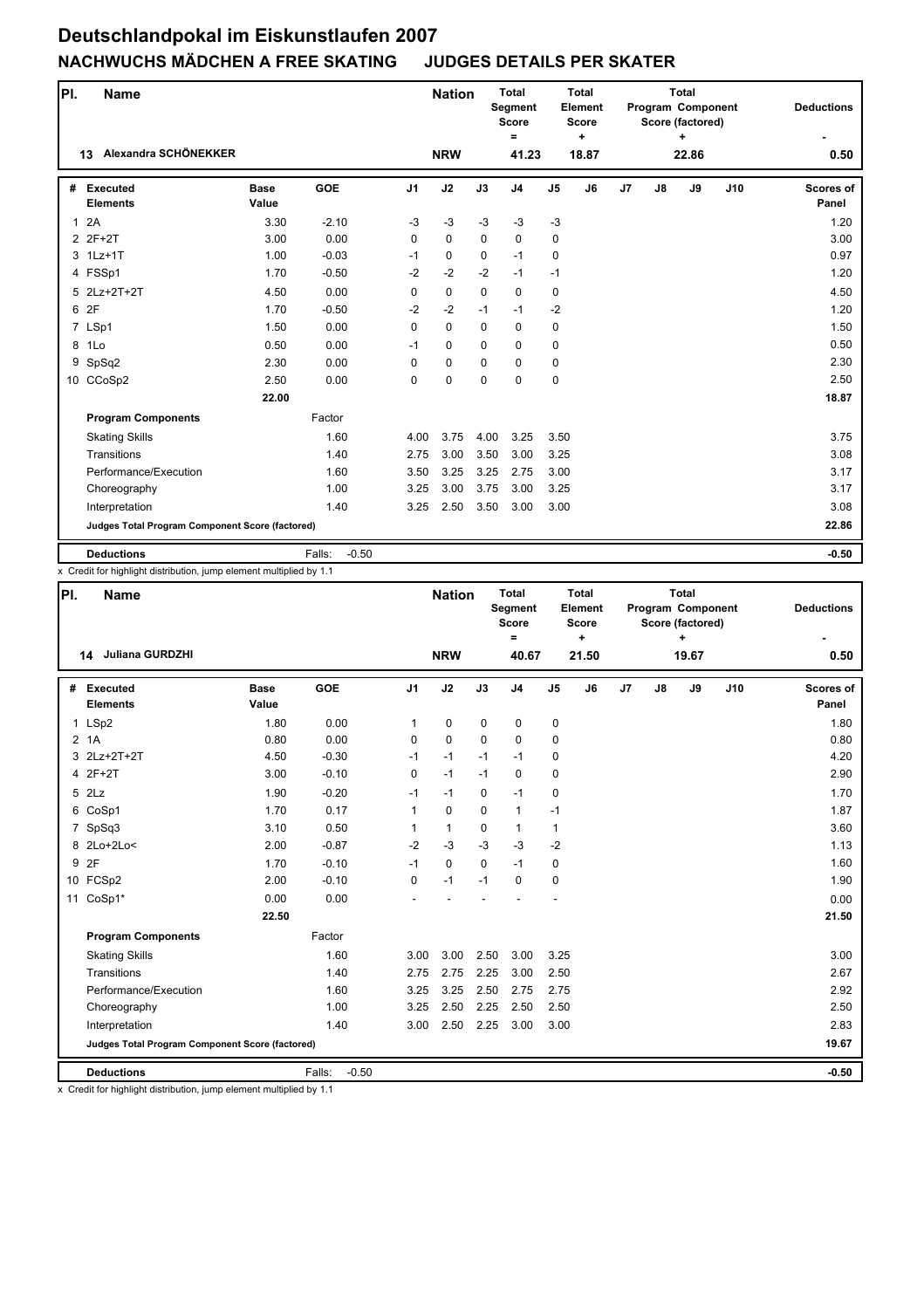| PI.          | <b>Name</b>                                     |               |                   |                | <b>Nation</b> |             | <b>Total</b><br>Segment<br><b>Score</b><br>$=$ |                | <b>Total</b><br>Element<br><b>Score</b><br>$\ddot{}$ |    |    | <b>Total</b><br>Program Component<br>Score (factored)<br>÷ |     | <b>Deductions</b>         |
|--------------|-------------------------------------------------|---------------|-------------------|----------------|---------------|-------------|------------------------------------------------|----------------|------------------------------------------------------|----|----|------------------------------------------------------------|-----|---------------------------|
|              | Alexandra SCHÖNEKKER<br>13                      |               |                   |                | <b>NRW</b>    |             | 41.23                                          |                | 18.87                                                |    |    | 22.86                                                      |     | 0.50                      |
| #            | <b>Executed</b><br><b>Elements</b>              | Base<br>Value | <b>GOE</b>        | J <sub>1</sub> | J2            | J3          | J <sub>4</sub>                                 | J <sub>5</sub> | J6                                                   | J7 | J8 | J9                                                         | J10 | <b>Scores of</b><br>Panel |
| $\mathbf{1}$ | 2A                                              | 3.30          | $-2.10$           | $-3$           | $-3$          | $-3$        | $-3$                                           | $-3$           |                                                      |    |    |                                                            |     | 1.20                      |
|              | 2 2F+2T                                         | 3.00          | 0.00              | $\Omega$       | $\Omega$      | $\Omega$    | $\mathbf 0$                                    | $\mathbf 0$    |                                                      |    |    |                                                            |     | 3.00                      |
|              | 3 1Lz+1T                                        | 1.00          | $-0.03$           | $-1$           | 0             | $\Omega$    | $-1$                                           | 0              |                                                      |    |    |                                                            |     | 0.97                      |
|              | 4 FSSp1                                         | 1.70          | $-0.50$           | $-2$           | $-2$          | $-2$        | $-1$                                           | $-1$           |                                                      |    |    |                                                            |     | 1.20                      |
|              | 5 2Lz+2T+2T                                     | 4.50          | 0.00              | $\mathbf 0$    | $\mathbf 0$   | $\mathbf 0$ | $\mathbf 0$                                    | $\mathbf 0$    |                                                      |    |    |                                                            |     | 4.50                      |
|              | 6 2F                                            | 1.70          | $-0.50$           | $-2$           | $-2$          | $-1$        | $-1$                                           | $-2$           |                                                      |    |    |                                                            |     | 1.20                      |
|              | 7 LSp1                                          | 1.50          | 0.00              | $\Omega$       | $\mathbf 0$   | $\Omega$    | 0                                              | 0              |                                                      |    |    |                                                            |     | 1.50                      |
|              | 8 1Lo                                           | 0.50          | 0.00              | $-1$           | $\mathbf 0$   | $\mathbf 0$ | $\mathbf 0$                                    | $\mathbf 0$    |                                                      |    |    |                                                            |     | 0.50                      |
| 9            | SpSq2                                           | 2.30          | 0.00              | $\mathbf 0$    | $\mathbf 0$   | $\Omega$    | $\mathbf 0$                                    | $\mathbf 0$    |                                                      |    |    |                                                            |     | 2.30                      |
|              | 10 CCoSp2                                       | 2.50          | 0.00              | 0              | $\mathbf 0$   | $\Omega$    | $\mathbf 0$                                    | $\mathbf 0$    |                                                      |    |    |                                                            |     | 2.50                      |
|              |                                                 | 22.00         |                   |                |               |             |                                                |                |                                                      |    |    |                                                            |     | 18.87                     |
|              | <b>Program Components</b>                       |               | Factor            |                |               |             |                                                |                |                                                      |    |    |                                                            |     |                           |
|              | <b>Skating Skills</b>                           |               | 1.60              | 4.00           | 3.75          | 4.00        | 3.25                                           | 3.50           |                                                      |    |    |                                                            |     | 3.75                      |
|              | Transitions                                     |               | 1.40              | 2.75           | 3.00          | 3.50        | 3.00                                           | 3.25           |                                                      |    |    |                                                            |     | 3.08                      |
|              | Performance/Execution                           |               | 1.60              | 3.50           | 3.25          | 3.25        | 2.75                                           | 3.00           |                                                      |    |    |                                                            |     | 3.17                      |
|              | Choreography                                    |               | 1.00              | 3.25           | 3.00          | 3.75        | 3.00                                           | 3.25           |                                                      |    |    |                                                            |     | 3.17                      |
|              | Interpretation                                  |               | 1.40              | 3.25           | 2.50          | 3.50        | 3.00                                           | 3.00           |                                                      |    |    |                                                            |     | 3.08                      |
|              | Judges Total Program Component Score (factored) |               |                   |                |               |             |                                                |                |                                                      |    |    |                                                            |     | 22.86                     |
|              | <b>Deductions</b>                               |               | Falls:<br>$-0.50$ |                |               |             |                                                |                |                                                      |    |    |                                                            |     | $-0.50$                   |

x Credit for highlight distribution, jump element multiplied by 1.1

| PI. | <b>Name</b>                                     |                      |                   |                | <b>Nation</b> |             | <b>Total</b><br>Segment<br><b>Score</b><br>$\equiv$ |                | <b>Total</b><br>Element<br><b>Score</b><br>$\ddot{}$ |    |               | <b>Total</b><br>Program Component<br>Score (factored)<br>$\ddot{}$ |     | <b>Deductions</b>  |
|-----|-------------------------------------------------|----------------------|-------------------|----------------|---------------|-------------|-----------------------------------------------------|----------------|------------------------------------------------------|----|---------------|--------------------------------------------------------------------|-----|--------------------|
|     | Juliana GURDZHI<br>14                           |                      |                   |                | <b>NRW</b>    |             | 40.67                                               |                | 21.50                                                |    |               | 19.67                                                              |     | 0.50               |
| #   | <b>Executed</b><br><b>Elements</b>              | <b>Base</b><br>Value | GOE               | J <sub>1</sub> | J2            | J3          | J <sub>4</sub>                                      | J <sub>5</sub> | J6                                                   | J7 | $\mathsf{J}8$ | J9                                                                 | J10 | Scores of<br>Panel |
|     | 1 LSp2                                          | 1.80                 | 0.00              | $\mathbf{1}$   | 0             | 0           | 0                                                   | 0              |                                                      |    |               |                                                                    |     | 1.80               |
|     | 2 1A                                            | 0.80                 | 0.00              | 0              | 0             | $\Omega$    | 0                                                   | 0              |                                                      |    |               |                                                                    |     | 0.80               |
|     | 3 2Lz+2T+2T                                     | 4.50                 | $-0.30$           | $-1$           | $-1$          | $-1$        | $-1$                                                | 0              |                                                      |    |               |                                                                    |     | 4.20               |
|     | 4 2F+2T                                         | 3.00                 | $-0.10$           | 0              | $-1$          | $-1$        | 0                                                   | 0              |                                                      |    |               |                                                                    |     | 2.90               |
|     | $5$ $2Lz$                                       | 1.90                 | $-0.20$           | $-1$           | $-1$          | $\Omega$    | $-1$                                                | 0              |                                                      |    |               |                                                                    |     | 1.70               |
|     | 6 CoSp1                                         | 1.70                 | 0.17              | $\mathbf{1}$   | 0             | $\Omega$    | $\mathbf{1}$                                        | $-1$           |                                                      |    |               |                                                                    |     | 1.87               |
|     | 7 SpSq3                                         | 3.10                 | 0.50              | 1              | $\mathbf{1}$  | 0           | 1                                                   | 1              |                                                      |    |               |                                                                    |     | 3.60               |
|     | 8 2Lo+2Lo<                                      | 2.00                 | $-0.87$           | $-2$           | $-3$          | $-3$        | $-3$                                                | $-2$           |                                                      |    |               |                                                                    |     | 1.13               |
| 9   | 2F                                              | 1.70                 | $-0.10$           | $-1$           | 0             | $\mathbf 0$ | $-1$                                                | 0              |                                                      |    |               |                                                                    |     | 1.60               |
|     | 10 FCSp2                                        | 2.00                 | $-0.10$           | $\Omega$       | $-1$          | $-1$        | 0                                                   | 0              |                                                      |    |               |                                                                    |     | 1.90               |
|     | 11 CoSp1*                                       | 0.00                 | 0.00              |                |               |             |                                                     |                |                                                      |    |               |                                                                    |     | 0.00               |
|     |                                                 | 22.50                |                   |                |               |             |                                                     |                |                                                      |    |               |                                                                    |     | 21.50              |
|     | <b>Program Components</b>                       |                      | Factor            |                |               |             |                                                     |                |                                                      |    |               |                                                                    |     |                    |
|     | <b>Skating Skills</b>                           |                      | 1.60              | 3.00           | 3.00          | 2.50        | 3.00                                                | 3.25           |                                                      |    |               |                                                                    |     | 3.00               |
|     | Transitions                                     |                      | 1.40              | 2.75           | 2.75          | 2.25        | 3.00                                                | 2.50           |                                                      |    |               |                                                                    |     | 2.67               |
|     | Performance/Execution                           |                      | 1.60              | 3.25           | 3.25          | 2.50        | 2.75                                                | 2.75           |                                                      |    |               |                                                                    |     | 2.92               |
|     | Choreography                                    |                      | 1.00              | 3.25           | 2.50          | 2.25        | 2.50                                                | 2.50           |                                                      |    |               |                                                                    |     | 2.50               |
|     | Interpretation                                  |                      | 1.40              | 3.00           | 2.50          | 2.25        | 3.00                                                | 3.00           |                                                      |    |               |                                                                    |     | 2.83               |
|     | Judges Total Program Component Score (factored) |                      |                   |                |               |             |                                                     |                |                                                      |    |               |                                                                    |     | 19.67              |
|     | <b>Deductions</b>                               |                      | Falls:<br>$-0.50$ |                |               |             |                                                     |                |                                                      |    |               |                                                                    |     | $-0.50$            |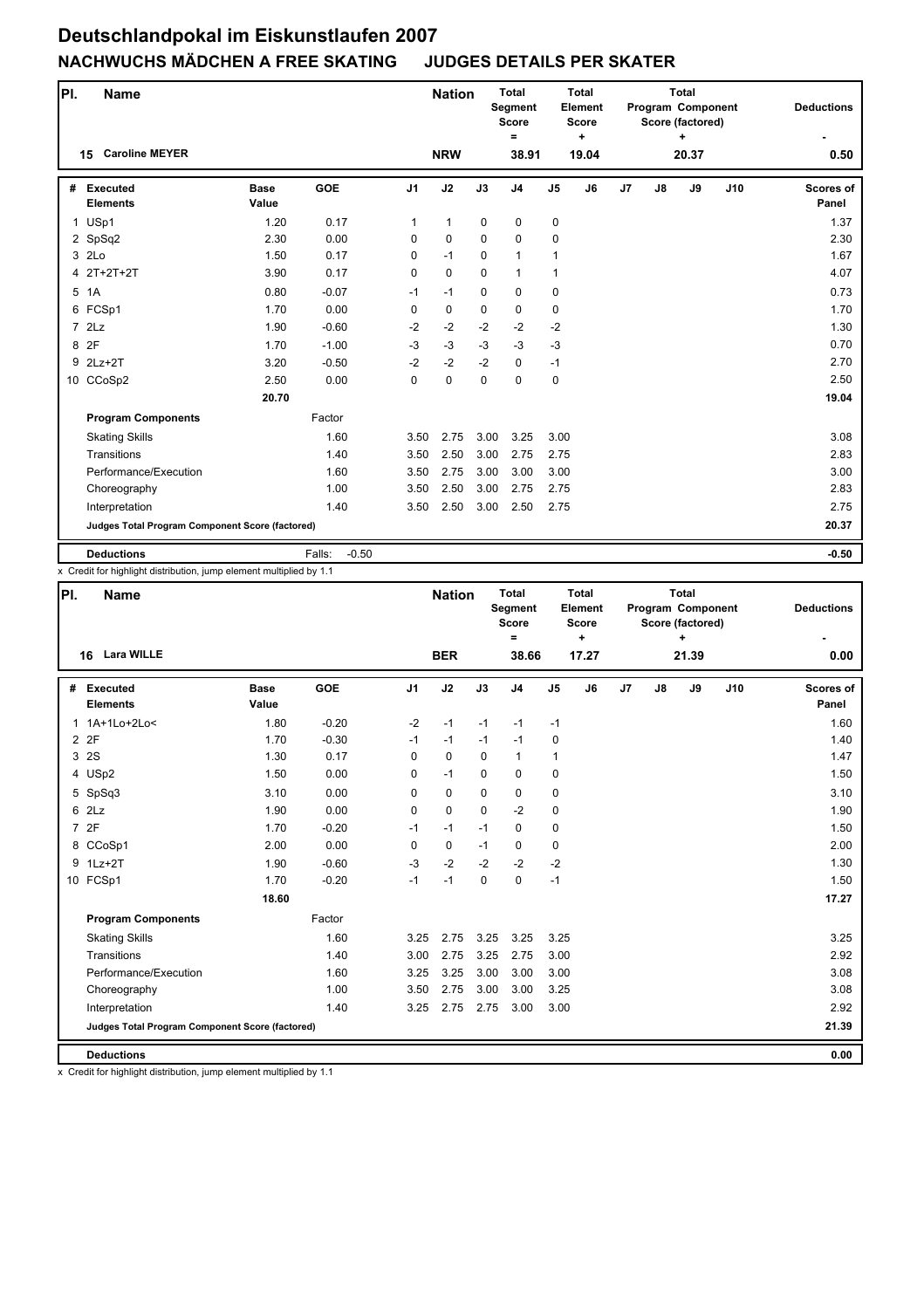| PI. | <b>Name</b>                                     |                      |                   |                | <b>Nation</b> |             | <b>Total</b><br>Segment<br><b>Score</b><br>$\equiv$ |                | <b>Total</b><br>Element<br><b>Score</b><br>$\ddot{}$ |                |    | <b>Total</b><br>Program Component<br>Score (factored)<br>÷ |     | <b>Deductions</b>  |
|-----|-------------------------------------------------|----------------------|-------------------|----------------|---------------|-------------|-----------------------------------------------------|----------------|------------------------------------------------------|----------------|----|------------------------------------------------------------|-----|--------------------|
|     | <b>Caroline MEYER</b><br>15                     |                      |                   |                | <b>NRW</b>    |             | 38.91                                               |                | 19.04                                                |                |    | 20.37                                                      |     | 0.50               |
| #   | <b>Executed</b><br><b>Elements</b>              | <b>Base</b><br>Value | <b>GOE</b>        | J <sub>1</sub> | J2            | J3          | J <sub>4</sub>                                      | J <sub>5</sub> | J6                                                   | J <sub>7</sub> | J8 | J9                                                         | J10 | Scores of<br>Panel |
|     | 1 USp1                                          | 1.20                 | 0.17              | 1              | $\mathbf{1}$  | $\mathbf 0$ | 0                                                   | 0              |                                                      |                |    |                                                            |     | 1.37               |
|     | 2 SpSq2                                         | 2.30                 | 0.00              | $\Omega$       | $\mathbf 0$   | $\mathbf 0$ | 0                                                   | $\mathbf 0$    |                                                      |                |    |                                                            |     | 2.30               |
|     | 3 2Lo                                           | 1.50                 | 0.17              | $\Omega$       | $-1$          | $\Omega$    | $\mathbf{1}$                                        | $\mathbf{1}$   |                                                      |                |    |                                                            |     | 1.67               |
|     | 4 2T+2T+2T                                      | 3.90                 | 0.17              | 0              | $\pmb{0}$     | $\mathbf 0$ | $\mathbf{1}$                                        | $\mathbf{1}$   |                                                      |                |    |                                                            |     | 4.07               |
|     | 5 1A                                            | 0.80                 | $-0.07$           | $-1$           | $-1$          | $\mathbf 0$ | $\mathbf 0$                                         | 0              |                                                      |                |    |                                                            |     | 0.73               |
|     | 6 FCSp1                                         | 1.70                 | 0.00              | 0              | $\mathbf 0$   | $\mathbf 0$ | $\mathbf 0$                                         | $\mathbf 0$    |                                                      |                |    |                                                            |     | 1.70               |
|     | $7$ $2Lz$                                       | 1.90                 | $-0.60$           | $-2$           | $-2$          | $-2$        | $-2$                                                | $-2$           |                                                      |                |    |                                                            |     | 1.30               |
|     | 8 2F                                            | 1.70                 | $-1.00$           | $-3$           | $-3$          | $-3$        | $-3$                                                | $-3$           |                                                      |                |    |                                                            |     | 0.70               |
|     | 9 2Lz+2T                                        | 3.20                 | $-0.50$           | $-2$           | $-2$          | $-2$        | 0                                                   | $-1$           |                                                      |                |    |                                                            |     | 2.70               |
|     | 10 CCoSp2                                       | 2.50                 | 0.00              | 0              | $\mathbf 0$   | $\mathbf 0$ | $\mathbf 0$                                         | 0              |                                                      |                |    |                                                            |     | 2.50               |
|     |                                                 | 20.70                |                   |                |               |             |                                                     |                |                                                      |                |    |                                                            |     | 19.04              |
|     | <b>Program Components</b>                       |                      | Factor            |                |               |             |                                                     |                |                                                      |                |    |                                                            |     |                    |
|     | <b>Skating Skills</b>                           |                      | 1.60              | 3.50           | 2.75          | 3.00        | 3.25                                                | 3.00           |                                                      |                |    |                                                            |     | 3.08               |
|     | Transitions                                     |                      | 1.40              | 3.50           | 2.50          | 3.00        | 2.75                                                | 2.75           |                                                      |                |    |                                                            |     | 2.83               |
|     | Performance/Execution                           |                      | 1.60              | 3.50           | 2.75          | 3.00        | 3.00                                                | 3.00           |                                                      |                |    |                                                            |     | 3.00               |
|     | Choreography                                    |                      | 1.00              | 3.50           | 2.50          | 3.00        | 2.75                                                | 2.75           |                                                      |                |    |                                                            |     | 2.83               |
|     | Interpretation                                  |                      | 1.40              | 3.50           | 2.50          | 3.00        | 2.50                                                | 2.75           |                                                      |                |    |                                                            |     | 2.75               |
|     | Judges Total Program Component Score (factored) |                      |                   |                |               |             |                                                     |                |                                                      |                |    |                                                            |     | 20.37              |
|     | <b>Deductions</b>                               |                      | $-0.50$<br>Falls: |                |               |             |                                                     |                |                                                      |                |    |                                                            |     | $-0.50$            |

x Credit for highlight distribution, jump element multiplied by 1.1

| PI.          | <b>Name</b>                                     |                      |            |                | <b>Nation</b> |             | <b>Total</b><br>Segment<br><b>Score</b><br>Ξ |                | <b>Total</b><br>Element<br>Score<br>$\ddot{}$ |    |    | Total<br>Program Component<br>Score (factored) |     | <b>Deductions</b>         |
|--------------|-------------------------------------------------|----------------------|------------|----------------|---------------|-------------|----------------------------------------------|----------------|-----------------------------------------------|----|----|------------------------------------------------|-----|---------------------------|
|              | <b>Lara WILLE</b><br>16                         |                      |            |                | <b>BER</b>    |             | 38.66                                        |                | 17.27                                         |    |    | 21.39                                          |     | 0.00                      |
| #            | Executed<br><b>Elements</b>                     | <b>Base</b><br>Value | <b>GOE</b> | J <sub>1</sub> | J2            | J3          | J <sub>4</sub>                               | J <sub>5</sub> | J6                                            | J7 | J8 | J9                                             | J10 | <b>Scores of</b><br>Panel |
| $\mathbf{1}$ | 1A+1Lo+2Lo<                                     | 1.80                 | $-0.20$    | $-2$           | $-1$          | $-1$        | $-1$                                         | $-1$           |                                               |    |    |                                                |     | 1.60                      |
|              | 2 2F                                            | 1.70                 | $-0.30$    | $-1$           | $-1$          | $-1$        | $-1$                                         | 0              |                                               |    |    |                                                |     | 1.40                      |
| 3            | 2S                                              | 1.30                 | 0.17       | 0              | 0             | $\mathbf 0$ | $\mathbf{1}$                                 | $\mathbf{1}$   |                                               |    |    |                                                |     | 1.47                      |
|              | 4 USp2                                          | 1.50                 | 0.00       | 0              | $-1$          | $\mathbf 0$ | 0                                            | 0              |                                               |    |    |                                                |     | 1.50                      |
|              | 5 SpSq3                                         | 3.10                 | 0.00       | $\Omega$       | 0             | $\Omega$    | $\mathbf 0$                                  | 0              |                                               |    |    |                                                |     | 3.10                      |
|              | $6$ $2Lz$                                       | 1.90                 | 0.00       | 0              | 0             | $\Omega$    | $-2$                                         | 0              |                                               |    |    |                                                |     | 1.90                      |
|              | 7 2F                                            | 1.70                 | $-0.20$    | $-1$           | $-1$          | $-1$        | $\mathbf 0$                                  | 0              |                                               |    |    |                                                |     | 1.50                      |
|              | 8 CCoSp1                                        | 2.00                 | 0.00       | $\Omega$       | 0             | $-1$        | $\mathbf 0$                                  | 0              |                                               |    |    |                                                |     | 2.00                      |
|              | 9 1Lz+2T                                        | 1.90                 | $-0.60$    | $-3$           | $-2$          | $-2$        | $-2$                                         | $-2$           |                                               |    |    |                                                |     | 1.30                      |
|              | 10 FCSp1                                        | 1.70                 | $-0.20$    | $-1$           | $-1$          | $\Omega$    | $\mathbf 0$                                  | $-1$           |                                               |    |    |                                                |     | 1.50                      |
|              |                                                 | 18.60                |            |                |               |             |                                              |                |                                               |    |    |                                                |     | 17.27                     |
|              | <b>Program Components</b>                       |                      | Factor     |                |               |             |                                              |                |                                               |    |    |                                                |     |                           |
|              | <b>Skating Skills</b>                           |                      | 1.60       | 3.25           | 2.75          | 3.25        | 3.25                                         | 3.25           |                                               |    |    |                                                |     | 3.25                      |
|              | Transitions                                     |                      | 1.40       | 3.00           | 2.75          | 3.25        | 2.75                                         | 3.00           |                                               |    |    |                                                |     | 2.92                      |
|              | Performance/Execution                           |                      | 1.60       | 3.25           | 3.25          | 3.00        | 3.00                                         | 3.00           |                                               |    |    |                                                |     | 3.08                      |
|              | Choreography                                    |                      | 1.00       | 3.50           | 2.75          | 3.00        | 3.00                                         | 3.25           |                                               |    |    |                                                |     | 3.08                      |
|              | Interpretation                                  |                      | 1.40       | 3.25           | 2.75          | 2.75        | 3.00                                         | 3.00           |                                               |    |    |                                                |     | 2.92                      |
|              | Judges Total Program Component Score (factored) |                      |            |                |               |             |                                              |                |                                               |    |    |                                                |     | 21.39                     |
|              | <b>Deductions</b>                               |                      |            |                |               |             |                                              |                |                                               |    |    |                                                |     | 0.00                      |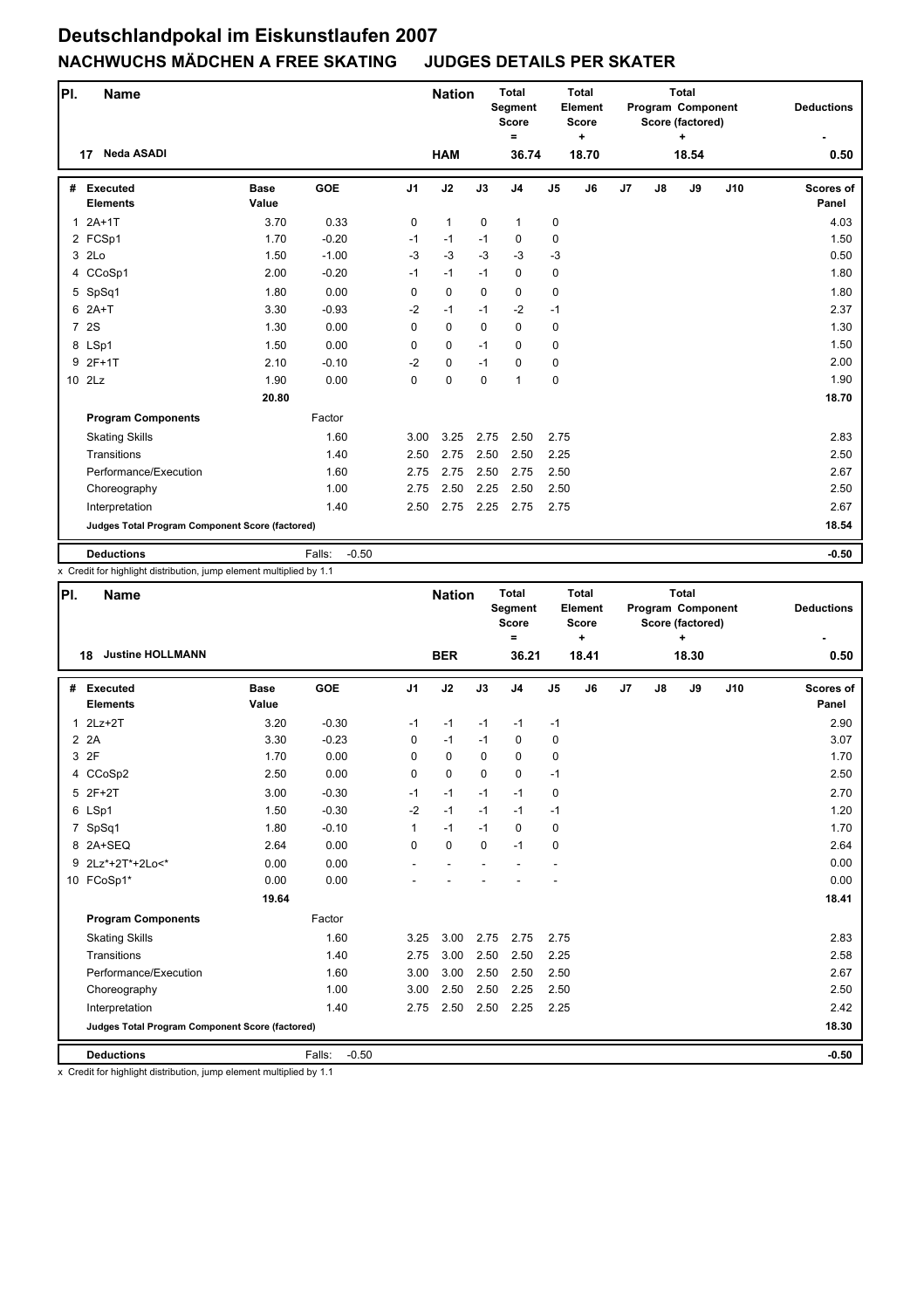| PI.          | <b>Name</b>                                     |                      |                   |                | <b>Nation</b> |             | <b>Total</b><br>Segment<br><b>Score</b><br>= |                | <b>Total</b><br>Element<br><b>Score</b><br>$\ddot{}$ |                |    | <b>Total</b><br>Program Component<br>Score (factored)<br>÷ |     | <b>Deductions</b>  |
|--------------|-------------------------------------------------|----------------------|-------------------|----------------|---------------|-------------|----------------------------------------------|----------------|------------------------------------------------------|----------------|----|------------------------------------------------------------|-----|--------------------|
|              | Neda ASADI<br>17                                |                      |                   |                | <b>HAM</b>    |             | 36.74                                        |                | 18.70                                                |                |    | 18.54                                                      |     | 0.50               |
| #            | <b>Executed</b><br><b>Elements</b>              | <b>Base</b><br>Value | <b>GOE</b>        | J <sub>1</sub> | J2            | J3          | J <sub>4</sub>                               | J <sub>5</sub> | J6                                                   | J <sub>7</sub> | J8 | J9                                                         | J10 | Scores of<br>Panel |
| $\mathbf{1}$ | $2A+1T$                                         | 3.70                 | 0.33              | 0              | $\mathbf{1}$  | $\mathbf 0$ | $\mathbf{1}$                                 | 0              |                                                      |                |    |                                                            |     | 4.03               |
|              | 2 FCSp1                                         | 1.70                 | $-0.20$           | $-1$           | $-1$          | $-1$        | $\mathbf 0$                                  | $\mathbf 0$    |                                                      |                |    |                                                            |     | 1.50               |
|              | 3 2Lo                                           | 1.50                 | $-1.00$           | $-3$           | $-3$          | $-3$        | $-3$                                         | $-3$           |                                                      |                |    |                                                            |     | 0.50               |
|              | 4 CCoSp1                                        | 2.00                 | $-0.20$           | $-1$           | $-1$          | $-1$        | 0                                            | 0              |                                                      |                |    |                                                            |     | 1.80               |
|              | 5 SpSq1                                         | 1.80                 | 0.00              | 0              | $\mathbf 0$   | $\mathbf 0$ | $\mathbf 0$                                  | 0              |                                                      |                |    |                                                            |     | 1.80               |
|              | $6$ $2A+T$                                      | 3.30                 | $-0.93$           | $-2$           | $-1$          | $-1$        | $-2$                                         | $-1$           |                                                      |                |    |                                                            |     | 2.37               |
|              | 7 2S                                            | 1.30                 | 0.00              | $\Omega$       | $\mathbf 0$   | $\Omega$    | $\Omega$                                     | 0              |                                                      |                |    |                                                            |     | 1.30               |
|              | 8 LSp1                                          | 1.50                 | 0.00              | 0              | $\mathbf 0$   | $-1$        | $\Omega$                                     | 0              |                                                      |                |    |                                                            |     | 1.50               |
|              | 9 2F+1T                                         | 2.10                 | $-0.10$           | $-2$           | $\mathbf 0$   | $-1$        | $\mathbf 0$                                  | 0              |                                                      |                |    |                                                            |     | 2.00               |
|              | 10 2Lz                                          | 1.90                 | 0.00              | 0              | 0             | $\mathbf 0$ | $\mathbf{1}$                                 | 0              |                                                      |                |    |                                                            |     | 1.90               |
|              |                                                 | 20.80                |                   |                |               |             |                                              |                |                                                      |                |    |                                                            |     | 18.70              |
|              | <b>Program Components</b>                       |                      | Factor            |                |               |             |                                              |                |                                                      |                |    |                                                            |     |                    |
|              | <b>Skating Skills</b>                           |                      | 1.60              | 3.00           | 3.25          | 2.75        | 2.50                                         | 2.75           |                                                      |                |    |                                                            |     | 2.83               |
|              | Transitions                                     |                      | 1.40              | 2.50           | 2.75          | 2.50        | 2.50                                         | 2.25           |                                                      |                |    |                                                            |     | 2.50               |
|              | Performance/Execution                           |                      | 1.60              | 2.75           | 2.75          | 2.50        | 2.75                                         | 2.50           |                                                      |                |    |                                                            |     | 2.67               |
|              | Choreography                                    |                      | 1.00              | 2.75           | 2.50          | 2.25        | 2.50                                         | 2.50           |                                                      |                |    |                                                            |     | 2.50               |
|              | Interpretation                                  |                      | 1.40              | 2.50           | 2.75          | 2.25        | 2.75                                         | 2.75           |                                                      |                |    |                                                            |     | 2.67               |
|              | Judges Total Program Component Score (factored) |                      |                   |                |               |             |                                              |                |                                                      |                |    |                                                            |     | 18.54              |
|              | <b>Deductions</b>                               |                      | Falls:<br>$-0.50$ |                |               |             |                                              |                |                                                      |                |    |                                                            |     | $-0.50$            |

x Credit for highlight distribution, jump element multiplied by 1.1

| PI.            | <b>Name</b>                                     |                      |                   |                | <b>Nation</b> |             | <b>Total</b><br>Segment<br><b>Score</b><br>$=$ |                | <b>Total</b><br>Element<br><b>Score</b><br>$\ddot{}$ |    |    | <b>Total</b><br>Program Component<br>Score (factored)<br>÷ |     | <b>Deductions</b>         |
|----------------|-------------------------------------------------|----------------------|-------------------|----------------|---------------|-------------|------------------------------------------------|----------------|------------------------------------------------------|----|----|------------------------------------------------------------|-----|---------------------------|
|                | <b>Justine HOLLMANN</b><br>18                   |                      |                   |                | <b>BER</b>    |             | 36.21                                          |                | 18.41                                                |    |    | 18.30                                                      |     | 0.50                      |
| #              | <b>Executed</b><br><b>Elements</b>              | <b>Base</b><br>Value | GOE               | J <sub>1</sub> | J2            | J3          | J <sub>4</sub>                                 | J <sub>5</sub> | J6                                                   | J7 | J8 | J9                                                         | J10 | <b>Scores of</b><br>Panel |
| 1              | $2Lz+2T$                                        | 3.20                 | $-0.30$           | $-1$           | $-1$          | $-1$        | $-1$                                           | $-1$           |                                                      |    |    |                                                            |     | 2.90                      |
| $\overline{2}$ | 2A                                              | 3.30                 | $-0.23$           | 0              | $-1$          | $-1$        | $\mathbf 0$                                    | 0              |                                                      |    |    |                                                            |     | 3.07                      |
| 3              | 2F                                              | 1.70                 | 0.00              | 0              | 0             | $\Omega$    | $\mathbf 0$                                    | 0              |                                                      |    |    |                                                            |     | 1.70                      |
|                | 4 CCoSp2                                        | 2.50                 | 0.00              | 0              | 0             | $\Omega$    | $\mathbf 0$                                    | $-1$           |                                                      |    |    |                                                            |     | 2.50                      |
|                | 5 2F+2T                                         | 3.00                 | $-0.30$           | $-1$           | $-1$          | $-1$        | $-1$                                           | 0              |                                                      |    |    |                                                            |     | 2.70                      |
|                | 6 LSp1                                          | 1.50                 | $-0.30$           | $-2$           | $-1$          | $-1$        | $-1$                                           | $-1$           |                                                      |    |    |                                                            |     | 1.20                      |
| $\overline{7}$ | SpSq1                                           | 1.80                 | $-0.10$           | $\mathbf{1}$   | $-1$          | $-1$        | $\mathbf 0$                                    | 0              |                                                      |    |    |                                                            |     | 1.70                      |
|                | 8 2A+SEQ                                        | 2.64                 | 0.00              | 0              | 0             | $\mathbf 0$ | $-1$                                           | 0              |                                                      |    |    |                                                            |     | 2.64                      |
| 9              | 2Lz*+2T*+2Lo<*                                  | 0.00                 | 0.00              |                |               |             |                                                |                |                                                      |    |    |                                                            |     | 0.00                      |
|                | 10 FCoSp1*                                      | 0.00                 | 0.00              |                |               |             |                                                |                |                                                      |    |    |                                                            |     | 0.00                      |
|                |                                                 | 19.64                |                   |                |               |             |                                                |                |                                                      |    |    |                                                            |     | 18.41                     |
|                | <b>Program Components</b>                       |                      | Factor            |                |               |             |                                                |                |                                                      |    |    |                                                            |     |                           |
|                | <b>Skating Skills</b>                           |                      | 1.60              | 3.25           | 3.00          | 2.75        | 2.75                                           | 2.75           |                                                      |    |    |                                                            |     | 2.83                      |
|                | Transitions                                     |                      | 1.40              | 2.75           | 3.00          | 2.50        | 2.50                                           | 2.25           |                                                      |    |    |                                                            |     | 2.58                      |
|                | Performance/Execution                           |                      | 1.60              | 3.00           | 3.00          | 2.50        | 2.50                                           | 2.50           |                                                      |    |    |                                                            |     | 2.67                      |
|                | Choreography                                    |                      | 1.00              | 3.00           | 2.50          | 2.50        | 2.25                                           | 2.50           |                                                      |    |    |                                                            |     | 2.50                      |
|                | Interpretation                                  |                      | 1.40              | 2.75           | 2.50          | 2.50        | 2.25                                           | 2.25           |                                                      |    |    |                                                            |     | 2.42                      |
|                | Judges Total Program Component Score (factored) |                      |                   |                |               |             |                                                |                |                                                      |    |    |                                                            |     | 18.30                     |
|                | <b>Deductions</b>                               |                      | $-0.50$<br>Falls: |                |               |             |                                                |                |                                                      |    |    |                                                            |     | $-0.50$                   |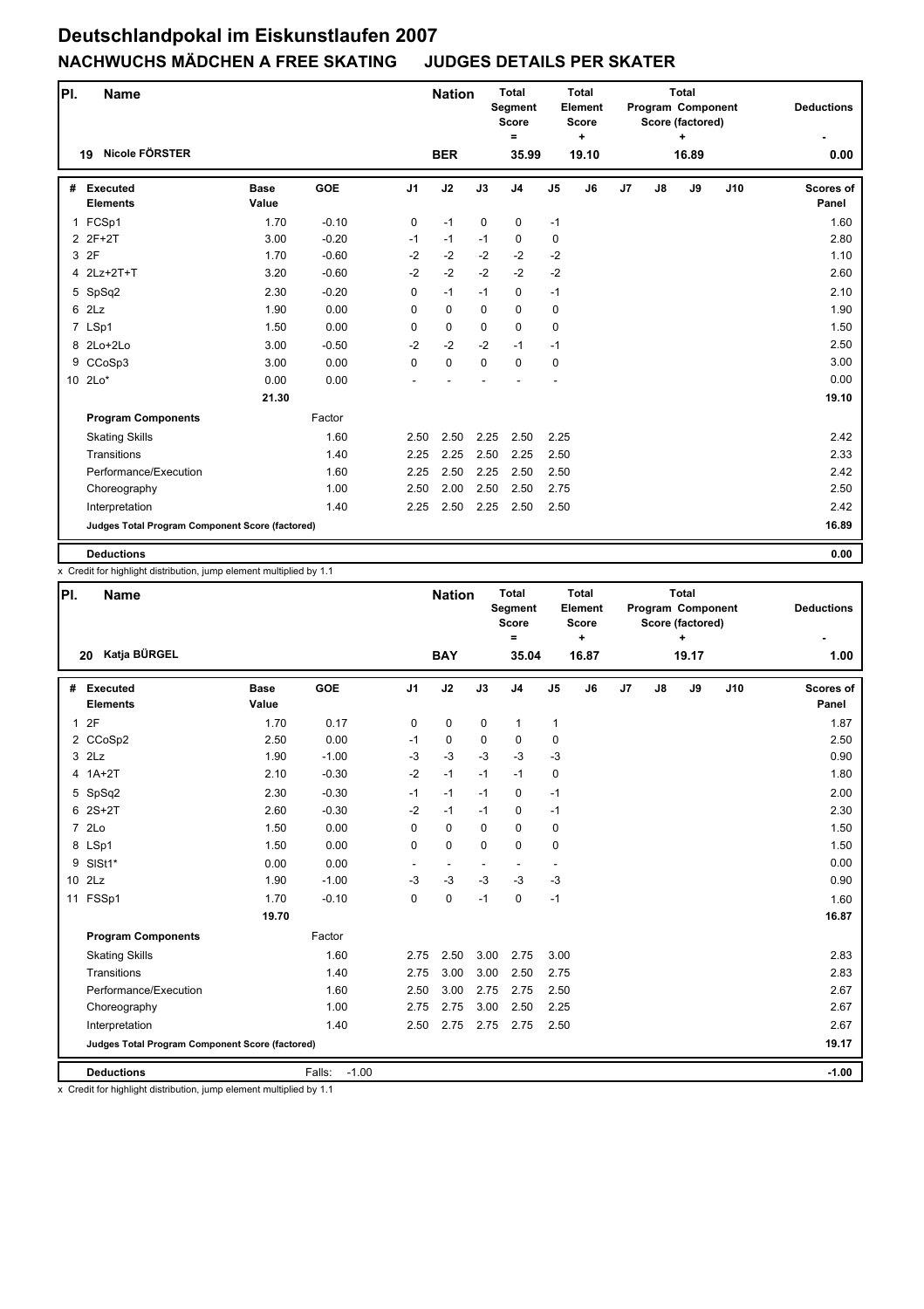| PI. | <b>Name</b>                                     |                      |            |                | <b>Nation</b> |             | <b>Total</b><br>Segment<br><b>Score</b><br>= |                | <b>Total</b><br>Element<br><b>Score</b><br>$\ddot{}$ |    |    | Total<br>Program Component<br>Score (factored)<br>÷ |     | <b>Deductions</b>  |
|-----|-------------------------------------------------|----------------------|------------|----------------|---------------|-------------|----------------------------------------------|----------------|------------------------------------------------------|----|----|-----------------------------------------------------|-----|--------------------|
|     | Nicole FÖRSTER<br>19                            |                      |            |                | <b>BER</b>    |             | 35.99                                        |                | 19.10                                                |    |    | 16.89                                               |     | 0.00               |
| #   | <b>Executed</b><br><b>Elements</b>              | <b>Base</b><br>Value | <b>GOE</b> | J <sub>1</sub> | J2            | J3          | J <sub>4</sub>                               | J <sub>5</sub> | J6                                                   | J7 | J8 | J9                                                  | J10 | Scores of<br>Panel |
|     | 1 FCSp1                                         | 1.70                 | $-0.10$    | 0              | $-1$          | $\mathbf 0$ | $\mathbf 0$                                  | $-1$           |                                                      |    |    |                                                     |     | 1.60               |
|     | 2 2F+2T                                         | 3.00                 | $-0.20$    | $-1$           | $-1$          | $-1$        | $\mathbf 0$                                  | 0              |                                                      |    |    |                                                     |     | 2.80               |
|     | 3 2F                                            | 1.70                 | $-0.60$    | $-2$           | $-2$          | $-2$        | $-2$                                         | $-2$           |                                                      |    |    |                                                     |     | 1.10               |
|     | 4 2Lz+2T+T                                      | 3.20                 | $-0.60$    | $-2$           | $-2$          | $-2$        | $-2$                                         | $-2$           |                                                      |    |    |                                                     |     | 2.60               |
|     | 5 SpSq2                                         | 2.30                 | $-0.20$    | 0              | $-1$          | $-1$        | 0                                            | $-1$           |                                                      |    |    |                                                     |     | 2.10               |
|     | 6 2Lz                                           | 1.90                 | 0.00       | $\Omega$       | $\mathbf 0$   | $\Omega$    | $\mathbf 0$                                  | 0              |                                                      |    |    |                                                     |     | 1.90               |
|     | 7 LSp1                                          | 1.50                 | 0.00       | 0              | $\mathbf 0$   | $\mathbf 0$ | $\mathbf 0$                                  | 0              |                                                      |    |    |                                                     |     | 1.50               |
|     | 8 2Lo+2Lo                                       | 3.00                 | $-0.50$    | $-2$           | $-2$          | $-2$        | $-1$                                         | $-1$           |                                                      |    |    |                                                     |     | 2.50               |
| 9   | CCoSp3                                          | 3.00                 | 0.00       | 0              | $\mathbf 0$   | $\mathbf 0$ | $\mathbf 0$                                  | 0              |                                                      |    |    |                                                     |     | 3.00               |
|     | 10 2Lo*                                         | 0.00                 | 0.00       |                |               |             |                                              |                |                                                      |    |    |                                                     |     | 0.00               |
|     |                                                 | 21.30                |            |                |               |             |                                              |                |                                                      |    |    |                                                     |     | 19.10              |
|     | <b>Program Components</b>                       |                      | Factor     |                |               |             |                                              |                |                                                      |    |    |                                                     |     |                    |
|     | <b>Skating Skills</b>                           |                      | 1.60       | 2.50           | 2.50          | 2.25        | 2.50                                         | 2.25           |                                                      |    |    |                                                     |     | 2.42               |
|     | Transitions                                     |                      | 1.40       | 2.25           | 2.25          | 2.50        | 2.25                                         | 2.50           |                                                      |    |    |                                                     |     | 2.33               |
|     | Performance/Execution                           |                      | 1.60       | 2.25           | 2.50          | 2.25        | 2.50                                         | 2.50           |                                                      |    |    |                                                     |     | 2.42               |
|     | Choreography                                    |                      | 1.00       | 2.50           | 2.00          | 2.50        | 2.50                                         | 2.75           |                                                      |    |    |                                                     |     | 2.50               |
|     | Interpretation                                  |                      | 1.40       | 2.25           | 2.50          | 2.25        | 2.50                                         | 2.50           |                                                      |    |    |                                                     |     | 2.42               |
|     | Judges Total Program Component Score (factored) |                      |            |                |               |             |                                              |                |                                                      |    |    |                                                     |     | 16.89              |
|     | <b>Deductions</b>                               |                      |            |                |               |             |                                              |                |                                                      |    |    |                                                     |     | 0.00               |

x Credit for highlight distribution, jump element multiplied by 1.1

| PI. | <b>Name</b>                                     |                      |                   |                | <b>Nation</b>            |             | <b>Total</b><br>Segment<br><b>Score</b><br>$\equiv$ |                          | <b>Total</b><br>Element<br><b>Score</b><br>÷ |    |               | <b>Total</b><br>Program Component<br>Score (factored)<br>$\ddot{}$ |     | <b>Deductions</b>         |
|-----|-------------------------------------------------|----------------------|-------------------|----------------|--------------------------|-------------|-----------------------------------------------------|--------------------------|----------------------------------------------|----|---------------|--------------------------------------------------------------------|-----|---------------------------|
|     | Katja BÜRGEL<br>20                              |                      |                   |                | <b>BAY</b>               |             | 35.04                                               |                          | 16.87                                        |    |               | 19.17                                                              |     | 1.00                      |
| #   | <b>Executed</b><br><b>Elements</b>              | <b>Base</b><br>Value | <b>GOE</b>        | J <sub>1</sub> | J2                       | J3          | J <sub>4</sub>                                      | J <sub>5</sub>           | J6                                           | J7 | $\mathsf{J}8$ | J9                                                                 | J10 | <b>Scores of</b><br>Panel |
| 1   | 2F                                              | 1.70                 | 0.17              | $\mathbf 0$    | 0                        | $\mathbf 0$ | $\mathbf{1}$                                        | $\mathbf{1}$             |                                              |    |               |                                                                    |     | 1.87                      |
|     | 2 CCoSp2                                        | 2.50                 | 0.00              | $-1$           | 0                        | $\mathbf 0$ | 0                                                   | $\mathbf 0$              |                                              |    |               |                                                                    |     | 2.50                      |
|     | $3$ $2Lz$                                       | 1.90                 | $-1.00$           | $-3$           | $-3$                     | $-3$        | $-3$                                                | $-3$                     |                                              |    |               |                                                                    |     | 0.90                      |
|     | $4$ 1A+2T                                       | 2.10                 | $-0.30$           | $-2$           | $-1$                     | $-1$        | $-1$                                                | $\mathbf 0$              |                                              |    |               |                                                                    |     | 1.80                      |
|     | 5 SpSq2                                         | 2.30                 | $-0.30$           | $-1$           | $-1$                     | $-1$        | 0                                                   | $-1$                     |                                              |    |               |                                                                    |     | 2.00                      |
|     | $62S+2T$                                        | 2.60                 | $-0.30$           | $-2$           | $-1$                     | $-1$        | $\mathbf 0$                                         | $-1$                     |                                              |    |               |                                                                    |     | 2.30                      |
|     | 7 2Lo                                           | 1.50                 | 0.00              | 0              | 0                        | $\Omega$    | $\Omega$                                            | 0                        |                                              |    |               |                                                                    |     | 1.50                      |
|     | 8 LSp1                                          | 1.50                 | 0.00              | $\mathbf 0$    | 0                        | $\Omega$    | $\mathbf 0$                                         | $\mathbf 0$              |                                              |    |               |                                                                    |     | 1.50                      |
|     | 9 SISt1*                                        | 0.00                 | 0.00              | $\overline{a}$ | $\overline{\phantom{a}}$ |             | $\overline{\phantom{a}}$                            | $\overline{\phantom{a}}$ |                                              |    |               |                                                                    |     | 0.00                      |
|     | 10 2Lz                                          | 1.90                 | $-1.00$           | $-3$           | $-3$                     | $-3$        | $-3$                                                | $-3$                     |                                              |    |               |                                                                    |     | 0.90                      |
|     | 11 FSSp1                                        | 1.70                 | $-0.10$           | $\Omega$       | 0                        | $-1$        | $\mathbf 0$                                         | $-1$                     |                                              |    |               |                                                                    |     | 1.60                      |
|     |                                                 | 19.70                |                   |                |                          |             |                                                     |                          |                                              |    |               |                                                                    |     | 16.87                     |
|     | <b>Program Components</b>                       |                      | Factor            |                |                          |             |                                                     |                          |                                              |    |               |                                                                    |     |                           |
|     | <b>Skating Skills</b>                           |                      | 1.60              | 2.75           | 2.50                     | 3.00        | 2.75                                                | 3.00                     |                                              |    |               |                                                                    |     | 2.83                      |
|     | Transitions                                     |                      | 1.40              | 2.75           | 3.00                     | 3.00        | 2.50                                                | 2.75                     |                                              |    |               |                                                                    |     | 2.83                      |
|     | Performance/Execution                           |                      | 1.60              | 2.50           | 3.00                     | 2.75        | 2.75                                                | 2.50                     |                                              |    |               |                                                                    |     | 2.67                      |
|     | Choreography                                    |                      | 1.00              | 2.75           | 2.75                     | 3.00        | 2.50                                                | 2.25                     |                                              |    |               |                                                                    |     | 2.67                      |
|     | Interpretation                                  |                      | 1.40              | 2.50           | 2.75                     | 2.75        | 2.75                                                | 2.50                     |                                              |    |               |                                                                    |     | 2.67                      |
|     | Judges Total Program Component Score (factored) |                      |                   |                |                          |             |                                                     |                          |                                              |    |               |                                                                    |     | 19.17                     |
|     | <b>Deductions</b>                               |                      | $-1.00$<br>Falls: |                |                          |             |                                                     |                          |                                              |    |               |                                                                    |     | $-1.00$                   |